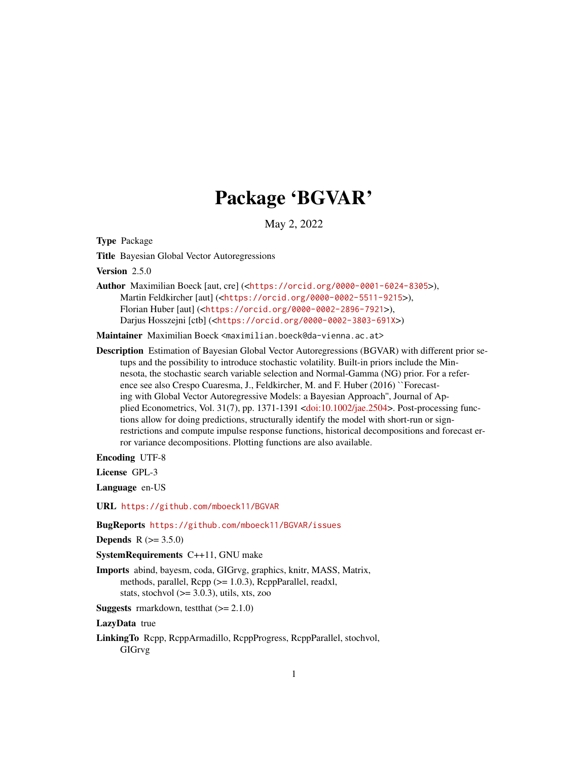# Package 'BGVAR'

May 2, 2022

<span id="page-0-0"></span>Type Package

Title Bayesian Global Vector Autoregressions

Version 2.5.0

Author Maximilian Boeck [aut, cre] (<<https://orcid.org/0000-0001-6024-8305>>), Martin Feldkircher [aut] (<<https://orcid.org/0000-0002-5511-9215>>), Florian Huber [aut] (<<https://orcid.org/0000-0002-2896-7921>>), Darjus Hosszejni [ctb] (<<https://orcid.org/0000-0002-3803-691X>>)

Maintainer Maximilian Boeck <maximilian.boeck@da-vienna.ac.at>

Description Estimation of Bayesian Global Vector Autoregressions (BGVAR) with different prior setups and the possibility to introduce stochastic volatility. Built-in priors include the Minnesota, the stochastic search variable selection and Normal-Gamma (NG) prior. For a reference see also Crespo Cuaresma, J., Feldkircher, M. and F. Huber (2016) ``Forecasting with Global Vector Autoregressive Models: a Bayesian Approach'', Journal of Applied Econometrics, Vol. 31(7), pp. 1371-1391 [<doi:10.1002/jae.2504>](https://doi.org/10.1002/jae.2504). Post-processing functions allow for doing predictions, structurally identify the model with short-run or signrestrictions and compute impulse response functions, historical decompositions and forecast error variance decompositions. Plotting functions are also available.

Encoding UTF-8

License GPL-3

Language en-US

URL <https://github.com/mboeck11/BGVAR>

BugReports <https://github.com/mboeck11/BGVAR/issues>

**Depends**  $R (= 3.5.0)$ 

SystemRequirements C++11, GNU make

Imports abind, bayesm, coda, GIGrvg, graphics, knitr, MASS, Matrix, methods, parallel, Rcpp (>= 1.0.3), RcppParallel, readxl, stats, stochvol  $(>= 3.0.3)$ , utils, xts, zoo

**Suggests** rmarkdown, test that  $(>= 2.1.0)$ 

LazyData true

LinkingTo Rcpp, RcppArmadillo, RcppProgress, RcppParallel, stochvol, GIGrvg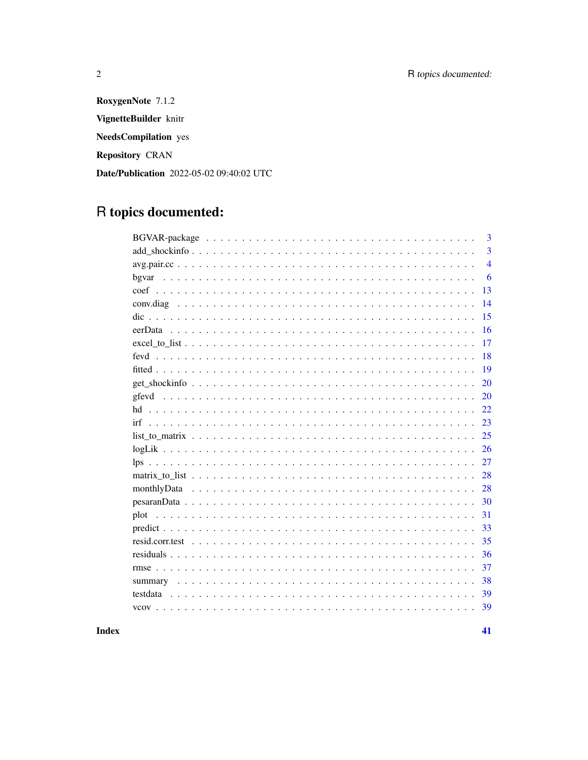RoxygenNote 7.1.2 VignetteBuilder knitr **NeedsCompilation** yes **Repository CRAN** Date/Publication 2022-05-02 09:40:02 UTC

# R topics documented:

|                                                                                                                   | 3              |
|-------------------------------------------------------------------------------------------------------------------|----------------|
|                                                                                                                   | 3              |
|                                                                                                                   | $\overline{4}$ |
| bgvar                                                                                                             | 6              |
|                                                                                                                   | 13             |
|                                                                                                                   | 14             |
|                                                                                                                   | 15             |
|                                                                                                                   | 16             |
| $\text{excel_to_list} \ldots \ldots \ldots \ldots \ldots \ldots \ldots \ldots \ldots \ldots \ldots \ldots \ldots$ | 17             |
|                                                                                                                   | 18             |
|                                                                                                                   | 19             |
| 20                                                                                                                |                |
|                                                                                                                   | 20             |
| 22<br>hd                                                                                                          |                |
|                                                                                                                   | 23             |
|                                                                                                                   | 25             |
|                                                                                                                   | 26             |
|                                                                                                                   | 27             |
| 28                                                                                                                |                |
| 28                                                                                                                |                |
| 30                                                                                                                |                |
| 31<br>plot                                                                                                        |                |
| 33                                                                                                                |                |
|                                                                                                                   | 35             |
|                                                                                                                   | 36             |
|                                                                                                                   | 37             |
| 38                                                                                                                |                |
|                                                                                                                   | 39             |
| 39                                                                                                                |                |

# **Index**

 $\overline{2}$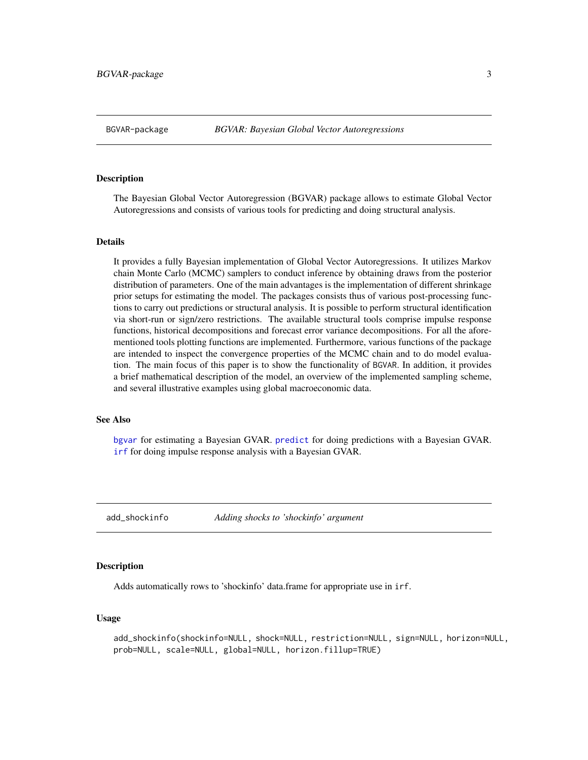# <span id="page-2-0"></span>Description

The Bayesian Global Vector Autoregression (BGVAR) package allows to estimate Global Vector Autoregressions and consists of various tools for predicting and doing structural analysis.

#### Details

It provides a fully Bayesian implementation of Global Vector Autoregressions. It utilizes Markov chain Monte Carlo (MCMC) samplers to conduct inference by obtaining draws from the posterior distribution of parameters. One of the main advantages is the implementation of different shrinkage prior setups for estimating the model. The packages consists thus of various post-processing functions to carry out predictions or structural analysis. It is possible to perform structural identification via short-run or sign/zero restrictions. The available structural tools comprise impulse response functions, historical decompositions and forecast error variance decompositions. For all the aforementioned tools plotting functions are implemented. Furthermore, various functions of the package are intended to inspect the convergence properties of the MCMC chain and to do model evaluation. The main focus of this paper is to show the functionality of BGVAR. In addition, it provides a brief mathematical description of the model, an overview of the implemented sampling scheme, and several illustrative examples using global macroeconomic data.

#### See Also

[bgvar](#page-5-1) for estimating a Bayesian GVAR. [predict](#page-32-1) for doing predictions with a Bayesian GVAR. [irf](#page-22-1) for doing impulse response analysis with a Bayesian GVAR.

<span id="page-2-1"></span>add\_shockinfo *Adding shocks to 'shockinfo' argument*

#### **Description**

Adds automatically rows to 'shockinfo' data.frame for appropriate use in irf.

#### Usage

```
add_shockinfo(shockinfo=NULL, shock=NULL, restriction=NULL, sign=NULL, horizon=NULL,
prob=NULL, scale=NULL, global=NULL, horizon.fillup=TRUE)
```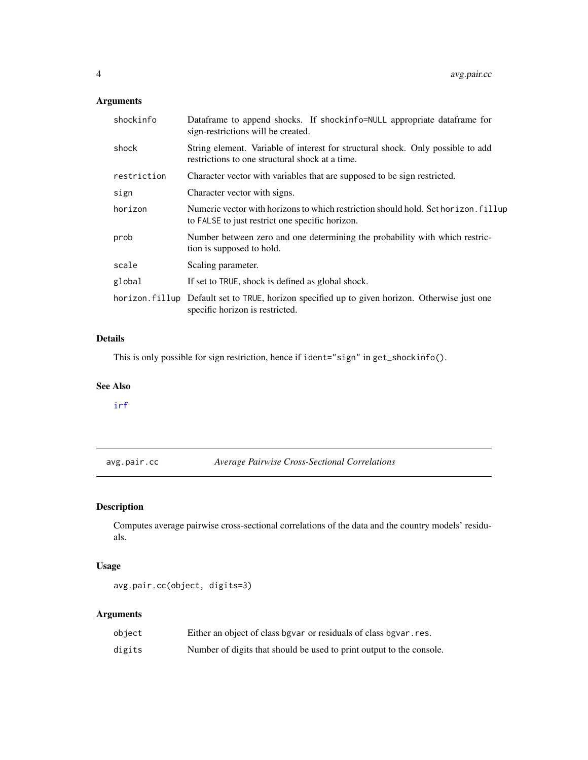# <span id="page-3-0"></span>Arguments

| shockinfo   | Dataframe to append shocks. If shockinfo=NULL appropriate dataframe for<br>sign-restrictions will be created.                         |
|-------------|---------------------------------------------------------------------------------------------------------------------------------------|
| shock       | String element. Variable of interest for structural shock. Only possible to add<br>restrictions to one structural shock at a time.    |
| restriction | Character vector with variables that are supposed to be sign restricted.                                                              |
| sign        | Character vector with signs.                                                                                                          |
| horizon     | Numeric vector with horizons to which restriction should hold. Set horizon. fillup<br>to FALSE to just restrict one specific horizon. |
| prob        | Number between zero and one determining the probability with which restric-<br>tion is supposed to hold.                              |
| scale       | Scaling parameter.                                                                                                                    |
| global      | If set to TRUE, shock is defined as global shock.                                                                                     |
|             | horizon. fillup Default set to TRUE, horizon specified up to given horizon. Otherwise just one<br>specific horizon is restricted.     |

# Details

This is only possible for sign restriction, hence if ident="sign" in get\_shockinfo().

# See Also

[irf](#page-22-1)

<span id="page-3-1"></span>avg.pair.cc *Average Pairwise Cross-Sectional Correlations*

# Description

Computes average pairwise cross-sectional correlations of the data and the country models' residuals.

# Usage

```
avg.pair.cc(object, digits=3)
```
# Arguments

| object | Either an object of class bgvar or residuals of class bgvar. res.    |
|--------|----------------------------------------------------------------------|
| digits | Number of digits that should be used to print output to the console. |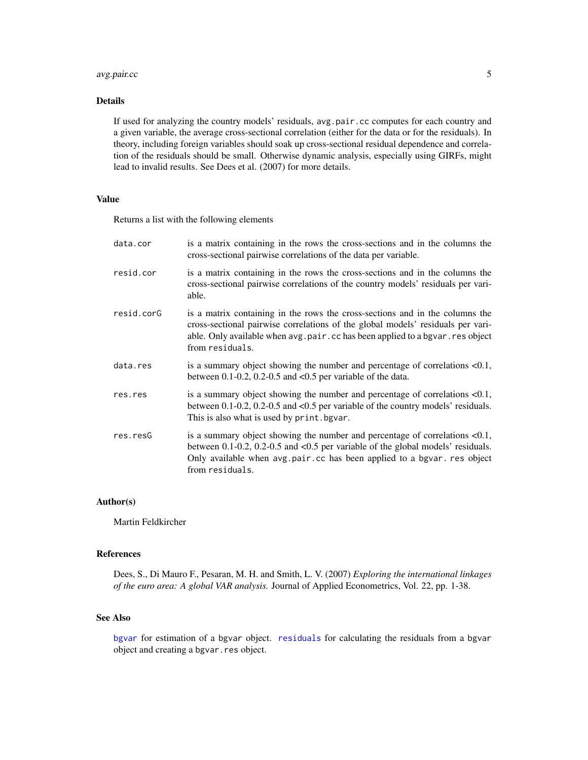# <span id="page-4-0"></span>avg.pair.cc 5

# Details

If used for analyzing the country models' residuals, avg.pair.cc computes for each country and a given variable, the average cross-sectional correlation (either for the data or for the residuals). In theory, including foreign variables should soak up cross-sectional residual dependence and correlation of the residuals should be small. Otherwise dynamic analysis, especially using GIRFs, might lead to invalid results. See Dees et al. (2007) for more details.

# Value

Returns a list with the following elements

| data.cor   | is a matrix containing in the rows the cross-sections and in the columns the<br>cross-sectional pairwise correlations of the data per variable.                                                                                                                    |
|------------|--------------------------------------------------------------------------------------------------------------------------------------------------------------------------------------------------------------------------------------------------------------------|
| resid.cor  | is a matrix containing in the rows the cross-sections and in the columns the<br>cross-sectional pairwise correlations of the country models' residuals per vari-<br>able.                                                                                          |
| resid.corG | is a matrix containing in the rows the cross-sections and in the columns the<br>cross-sectional pairwise correlations of the global models' residuals per vari-<br>able. Only available when avg.pair.cc has been applied to a bgvar.res object<br>from residuals. |
| data.res   | is a summary object showing the number and percentage of correlations $< 0.1$ ,<br>between $0.1$ -0.2, 0.2-0.5 and <0.5 per variable of the data.                                                                                                                  |
| res.res    | is a summary object showing the number and percentage of correlations $< 0.1$ ,<br>between $0.1$ -0.2, 0.2-0.5 and <0.5 per variable of the country models' residuals.<br>This is also what is used by print. bgvar.                                               |
| res.resG   | is a summary object showing the number and percentage of correlations $< 0.1$ ,<br>between 0.1-0.2, 0.2-0.5 and <0.5 per variable of the global models' residuals.<br>Only available when avg.pair.cc has been applied to a bgvar. res object<br>from residuals.   |

# Author(s)

Martin Feldkircher

# References

Dees, S., Di Mauro F., Pesaran, M. H. and Smith, L. V. (2007) *Exploring the international linkages of the euro area: A global VAR analysis.* Journal of Applied Econometrics, Vol. 22, pp. 1-38.

# See Also

[bgvar](#page-5-1) for estimation of a bgvar object. [residuals](#page-35-1) for calculating the residuals from a bgvar object and creating a bgvar.res object.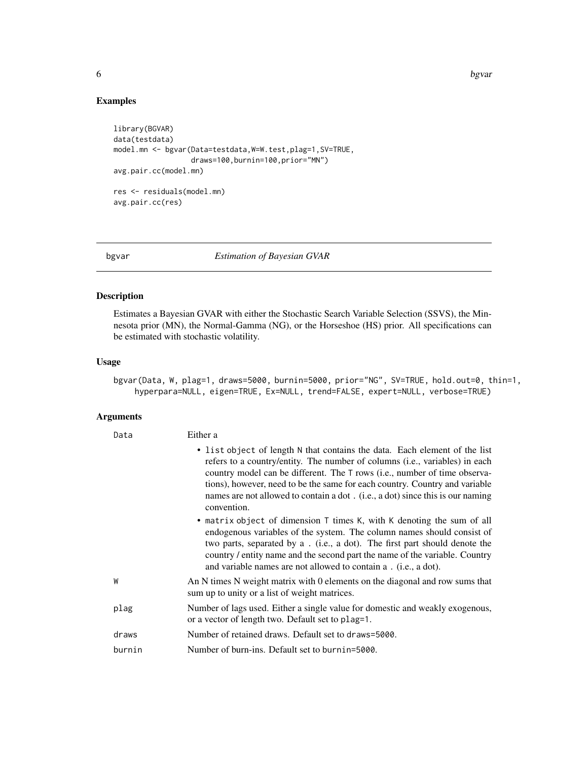6 bgvar betydelig i 1999 betydelig i 1999 betydelig i 1999 betydelig i 1999 betydelig i 1999 betydelig i 1999 betyd

# Examples

```
library(BGVAR)
data(testdata)
model.mn <- bgvar(Data=testdata,W=W.test,plag=1,SV=TRUE,
                  draws=100,burnin=100,prior="MN")
avg.pair.cc(model.mn)
res <- residuals(model.mn)
avg.pair.cc(res)
```
<span id="page-5-1"></span>bgvar *Estimation of Bayesian GVAR*

# Description

Estimates a Bayesian GVAR with either the Stochastic Search Variable Selection (SSVS), the Minnesota prior (MN), the Normal-Gamma (NG), or the Horseshoe (HS) prior. All specifications can be estimated with stochastic volatility.

#### Usage

bgvar(Data, W, plag=1, draws=5000, burnin=5000, prior="NG", SV=TRUE, hold.out=0, thin=1, hyperpara=NULL, eigen=TRUE, Ex=NULL, trend=FALSE, expert=NULL, verbose=TRUE)

# Arguments

| Data   | Either a                                                                                                                                                                                                                                                                                                                                                                                                               |
|--------|------------------------------------------------------------------------------------------------------------------------------------------------------------------------------------------------------------------------------------------------------------------------------------------------------------------------------------------------------------------------------------------------------------------------|
|        | • list object of length N that contains the data. Each element of the list<br>refers to a country/entity. The number of columns (i.e., variables) in each<br>country model can be different. The T rows (i.e., number of time observa-<br>tions), however, need to be the same for each country. Country and variable<br>names are not allowed to contain a dot. (i.e., a dot) since this is our naming<br>convention. |
|        | • matrix object of dimension T times K, with K denoting the sum of all<br>endogenous variables of the system. The column names should consist of<br>two parts, separated by a . (i.e., a dot). The first part should denote the<br>country / entity name and the second part the name of the variable. Country<br>and variable names are not allowed to contain a . (i.e., a dot).                                     |
| W      | An N times N weight matrix with 0 elements on the diagonal and row sums that<br>sum up to unity or a list of weight matrices.                                                                                                                                                                                                                                                                                          |
| plag   | Number of lags used. Either a single value for domestic and weakly exogenous,<br>or a vector of length two. Default set to plag=1.                                                                                                                                                                                                                                                                                     |
| draws  | Number of retained draws. Default set to draws=5000.                                                                                                                                                                                                                                                                                                                                                                   |
| burnin | Number of burn-ins. Default set to burnin=5000.                                                                                                                                                                                                                                                                                                                                                                        |

<span id="page-5-0"></span>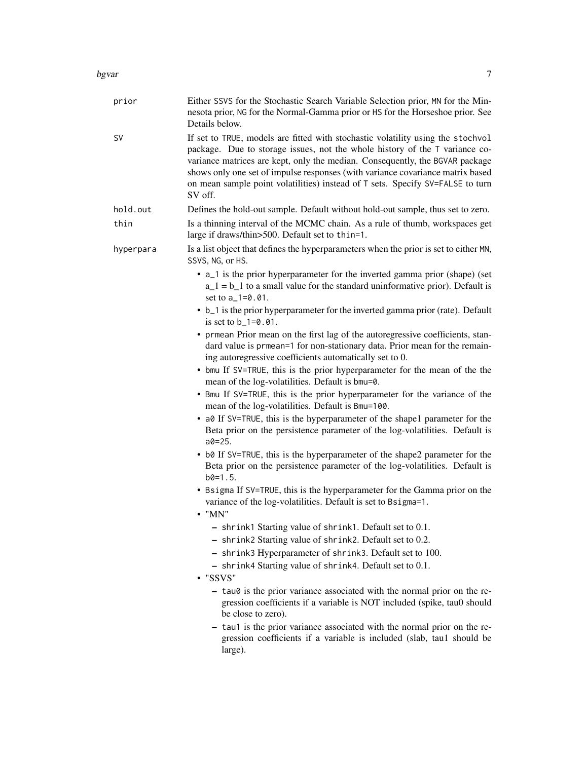#### bgvar 700 km stoff at the state of the state of the state of the state of the state of the state of the state o

| prior     | Either SSVS for the Stochastic Search Variable Selection prior, MN for the Min-<br>nesota prior, NG for the Normal-Gamma prior or HS for the Horseshoe prior. See<br>Details below.                                                                                                                                                                                                                                           |
|-----------|-------------------------------------------------------------------------------------------------------------------------------------------------------------------------------------------------------------------------------------------------------------------------------------------------------------------------------------------------------------------------------------------------------------------------------|
| SV        | If set to TRUE, models are fitted with stochastic volatility using the stochvol<br>package. Due to storage issues, not the whole history of the T variance co-<br>variance matrices are kept, only the median. Consequently, the BGVAR package<br>shows only one set of impulse responses (with variance covariance matrix based<br>on mean sample point volatilities) instead of T sets. Specify SV=FALSE to turn<br>SV off. |
| hold.out  | Defines the hold-out sample. Default without hold-out sample, thus set to zero.                                                                                                                                                                                                                                                                                                                                               |
| thin      | Is a thinning interval of the MCMC chain. As a rule of thumb, workspaces get<br>large if draws/thin>500. Default set to thin=1.                                                                                                                                                                                                                                                                                               |
| hyperpara | Is a list object that defines the hyperparameters when the prior is set to either MN,<br>SSVS, NG, or HS.                                                                                                                                                                                                                                                                                                                     |
|           | • a_1 is the prior hyperparameter for the inverted gamma prior (shape) (set<br>$a_1 = b_1$ to a small value for the standard uninformative prior). Default is<br>set to a_1=0.01.                                                                                                                                                                                                                                             |
|           | • b_1 is the prior hyperparameter for the inverted gamma prior (rate). Default<br>is set to $b_1 = 0.01$ .                                                                                                                                                                                                                                                                                                                    |
|           | • prmean Prior mean on the first lag of the autoregressive coefficients, stan-<br>dard value is prmean=1 for non-stationary data. Prior mean for the remain-<br>ing autoregressive coefficients automatically set to 0.                                                                                                                                                                                                       |
|           | • bmu If SV=TRUE, this is the prior hyperparameter for the mean of the the<br>mean of the log-volatilities. Default is bmu=0.                                                                                                                                                                                                                                                                                                 |
|           | • Bmu If SV=TRUE, this is the prior hyperparameter for the variance of the<br>mean of the log-volatilities. Default is Bmu=100.                                                                                                                                                                                                                                                                                               |
|           | • a0 If SV=TRUE, this is the hyperparameter of the shape1 parameter for the<br>Beta prior on the persistence parameter of the log-volatilities. Default is<br>$a0 = 25.$                                                                                                                                                                                                                                                      |
|           | • b0 If SV=TRUE, this is the hyperparameter of the shape2 parameter for the<br>Beta prior on the persistence parameter of the log-volatilities. Default is<br>$b0=1.5$ .                                                                                                                                                                                                                                                      |
|           | • Bsigma If SV=TRUE, this is the hyperparameter for the Gamma prior on the<br>variance of the log-volatilities. Default is set to Bsigma=1.<br>$\bullet$ "MN"                                                                                                                                                                                                                                                                 |
|           | - shrink1 Starting value of shrink1. Default set to 0.1.<br>- shrink2 Starting value of shrink2. Default set to 0.2.<br>- shrink3 Hyperparameter of shrink3. Default set to 100.                                                                                                                                                                                                                                              |
|           | - shrink4 Starting value of shrink4. Default set to 0.1.<br>• "SSVS"                                                                                                                                                                                                                                                                                                                                                          |
|           | - tau0 is the prior variance associated with the normal prior on the re-<br>gression coefficients if a variable is NOT included (spike, tau0 should<br>be close to zero).                                                                                                                                                                                                                                                     |
|           | - tau1 is the prior variance associated with the normal prior on the re-<br>gression coefficients if a variable is included (slab, tau1 should be<br>large).                                                                                                                                                                                                                                                                  |
|           |                                                                                                                                                                                                                                                                                                                                                                                                                               |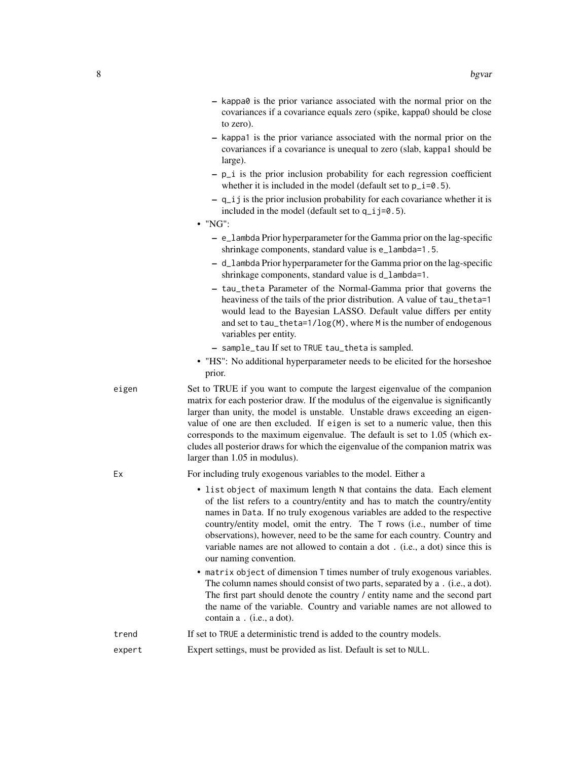| $-$ kappa $\theta$ is the prior variance associated with the normal prior on the |
|----------------------------------------------------------------------------------|
| covariances if a covariance equals zero (spike, kappa0 should be close           |
| to zero).                                                                        |

- kappa1 is the prior variance associated with the normal prior on the covariances if a covariance is unequal to zero (slab, kappa1 should be large).
- p\_i is the prior inclusion probability for each regression coefficient whether it is included in the model (default set to  $p_i = 5$ ).
- q\_ij is the prior inclusion probability for each covariance whether it is included in the model (default set to q\_ij=0.5).
- "NG":
	- e\_lambda Prior hyperparameter for the Gamma prior on the lag-specific shrinkage components, standard value is e\_lambda=1.5.
	- d\_lambda Prior hyperparameter for the Gamma prior on the lag-specific shrinkage components, standard value is d\_lambda=1.
	- tau\_theta Parameter of the Normal-Gamma prior that governs the heaviness of the tails of the prior distribution. A value of tau\_theta=1 would lead to the Bayesian LASSO. Default value differs per entity and set to tau\_theta=1/log(M), where M is the number of endogenous variables per entity.
	- sample\_tau If set to TRUE tau\_theta is sampled.
- "HS": No additional hyperparameter needs to be elicited for the horseshoe prior.
- eigen Set to TRUE if you want to compute the largest eigenvalue of the companion matrix for each posterior draw. If the modulus of the eigenvalue is significantly larger than unity, the model is unstable. Unstable draws exceeding an eigenvalue of one are then excluded. If eigen is set to a numeric value, then this corresponds to the maximum eigenvalue. The default is set to 1.05 (which excludes all posterior draws for which the eigenvalue of the companion matrix was larger than 1.05 in modulus).
- 

Ex For including truly exogenous variables to the model. Either a

- list object of maximum length N that contains the data. Each element of the list refers to a country/entity and has to match the country/entity names in Data. If no truly exogenous variables are added to the respective country/entity model, omit the entry. The T rows (i.e., number of time observations), however, need to be the same for each country. Country and variable names are not allowed to contain a dot . (i.e., a dot) since this is our naming convention.
- matrix object of dimension T times number of truly exogenous variables. The column names should consist of two parts, separated by a . (i.e., a dot). The first part should denote the country / entity name and the second part the name of the variable. Country and variable names are not allowed to contain a . (i.e., a dot).
- trend If set to TRUE a deterministic trend is added to the country models.
- expert Expert settings, must be provided as list. Default is set to NULL.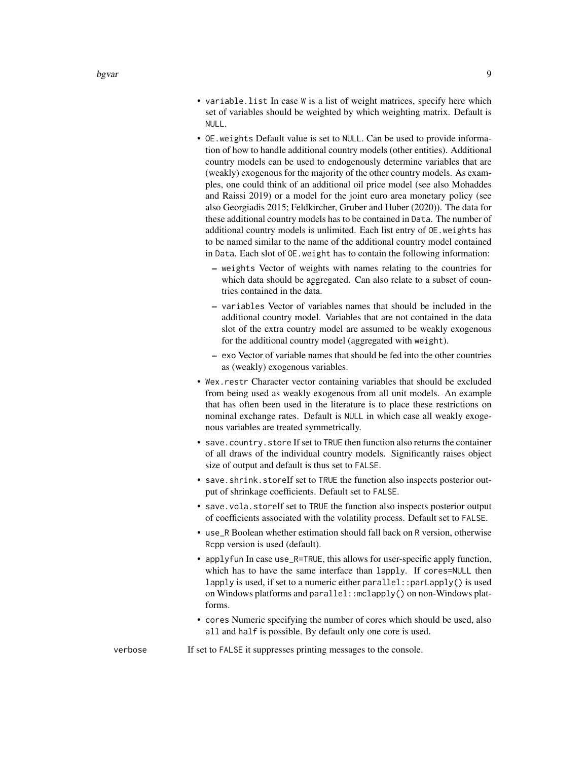- variable.list In case W is a list of weight matrices, specify here which set of variables should be weighted by which weighting matrix. Default is NULL.
- OE.weights Default value is set to NULL. Can be used to provide information of how to handle additional country models (other entities). Additional country models can be used to endogenously determine variables that are (weakly) exogenous for the majority of the other country models. As examples, one could think of an additional oil price model (see also Mohaddes and Raissi 2019) or a model for the joint euro area monetary policy (see also Georgiadis 2015; Feldkircher, Gruber and Huber (2020)). The data for these additional country models has to be contained in Data. The number of additional country models is unlimited. Each list entry of OE.weights has to be named similar to the name of the additional country model contained in Data. Each slot of OE.weight has to contain the following information:
	- weights Vector of weights with names relating to the countries for which data should be aggregated. Can also relate to a subset of countries contained in the data.
	- variables Vector of variables names that should be included in the additional country model. Variables that are not contained in the data slot of the extra country model are assumed to be weakly exogenous for the additional country model (aggregated with weight).
	- exo Vector of variable names that should be fed into the other countries as (weakly) exogenous variables.
- Wex.restr Character vector containing variables that should be excluded from being used as weakly exogenous from all unit models. An example that has often been used in the literature is to place these restrictions on nominal exchange rates. Default is NULL in which case all weakly exogenous variables are treated symmetrically.
- save.country.store If set to TRUE then function also returns the container of all draws of the individual country models. Significantly raises object size of output and default is thus set to FALSE.
- save.shrink.storeIf set to TRUE the function also inspects posterior output of shrinkage coefficients. Default set to FALSE.
- save.vola.storeIf set to TRUE the function also inspects posterior output of coefficients associated with the volatility process. Default set to FALSE.
- use\_R Boolean whether estimation should fall back on R version, otherwise Rcpp version is used (default).
- applyfun In case use\_R=TRUE, this allows for user-specific apply function, which has to have the same interface than lapply. If cores=NULL then lapply is used, if set to a numeric either parallel::parLapply() is used on Windows platforms and parallel::mclapply() on non-Windows platforms.
- cores Numeric specifying the number of cores which should be used, also all and half is possible. By default only one core is used.

verbose If set to FALSE it suppresses printing messages to the console.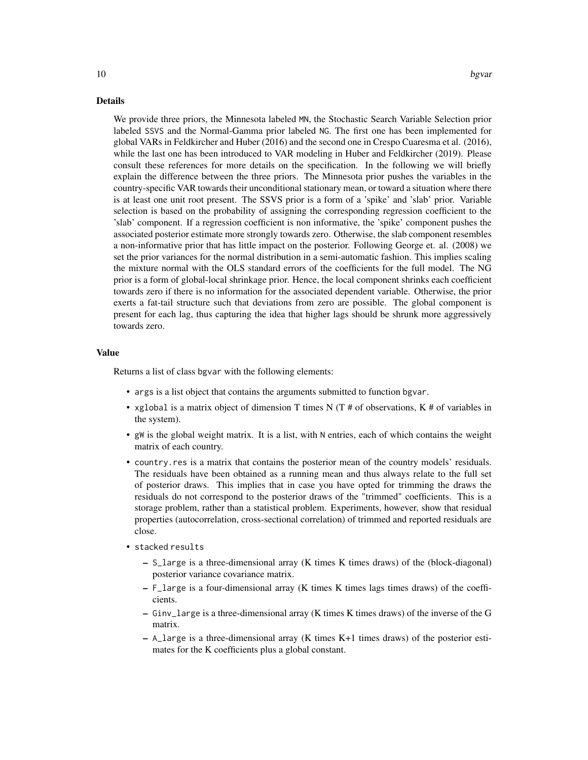#### Details

We provide three priors, the Minnesota labeled MN, the Stochastic Search Variable Selection prior labeled SSVS and the Normal-Gamma prior labeled NG. The first one has been implemented for global VARs in Feldkircher and Huber (2016) and the second one in Crespo Cuaresma et al. (2016), while the last one has been introduced to VAR modeling in Huber and Feldkircher (2019). Please consult these references for more details on the specification. In the following we will briefly explain the difference between the three priors. The Minnesota prior pushes the variables in the country-specific VAR towards their unconditional stationary mean, or toward a situation where there is at least one unit root present. The SSVS prior is a form of a 'spike' and 'slab' prior. Variable selection is based on the probability of assigning the corresponding regression coefficient to the 'slab' component. If a regression coefficient is non informative, the 'spike' component pushes the associated posterior estimate more strongly towards zero. Otherwise, the slab component resembles a non-informative prior that has little impact on the posterior. Following George et. al. (2008) we set the prior variances for the normal distribution in a semi-automatic fashion. This implies scaling the mixture normal with the OLS standard errors of the coefficients for the full model. The NG prior is a form of global-local shrinkage prior. Hence, the local component shrinks each coefficient towards zero if there is no information for the associated dependent variable. Otherwise, the prior exerts a fat-tail structure such that deviations from zero are possible. The global component is present for each lag, thus capturing the idea that higher lags should be shrunk more aggressively towards zero.

# Value

Returns a list of class bgvar with the following elements:

- args is a list object that contains the arguments submitted to function bgvar.
- xglobal is a matrix object of dimension T times N (T # of observations, K # of variables in the system).
- gW is the global weight matrix. It is a list, with N entries, each of which contains the weight matrix of each country.
- country.res is a matrix that contains the posterior mean of the country models' residuals. The residuals have been obtained as a running mean and thus always relate to the full set of posterior draws. This implies that in case you have opted for trimming the draws the residuals do not correspond to the posterior draws of the "trimmed" coefficients. This is a storage problem, rather than a statistical problem. Experiments, however, show that residual properties (autocorrelation, cross-sectional correlation) of trimmed and reported residuals are close.
- stacked results
	- S\_large is a three-dimensional array (K times K times draws) of the (block-diagonal) posterior variance covariance matrix.
	- $-$  F<sub>large</sub> is a four-dimensional array (K times K times lags times draws) of the coefficients.
	- Ginv\_large is a three-dimensional array (K times K times draws) of the inverse of the G matrix.
	- $-$  A\_large is a three-dimensional array (K times K+1 times draws) of the posterior estimates for the K coefficients plus a global constant.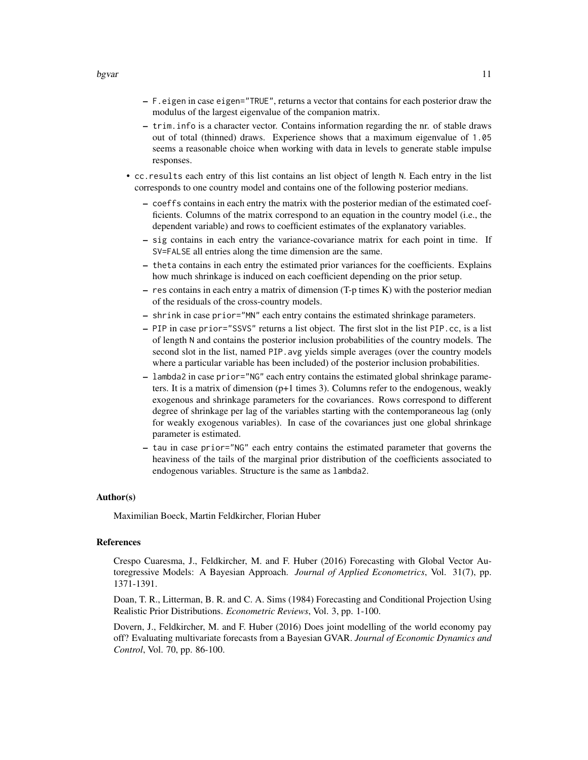- F.eigen in case eigen="TRUE", returns a vector that contains for each posterior draw the modulus of the largest eigenvalue of the companion matrix.
- trim.info is a character vector. Contains information regarding the nr. of stable draws out of total (thinned) draws. Experience shows that a maximum eigenvalue of 1.05 seems a reasonable choice when working with data in levels to generate stable impulse responses.
- cc.results each entry of this list contains an list object of length N. Each entry in the list corresponds to one country model and contains one of the following posterior medians.
	- coeffs contains in each entry the matrix with the posterior median of the estimated coefficients. Columns of the matrix correspond to an equation in the country model (i.e., the dependent variable) and rows to coefficient estimates of the explanatory variables.
	- sig contains in each entry the variance-covariance matrix for each point in time. If SV=FALSE all entries along the time dimension are the same.
	- theta contains in each entry the estimated prior variances for the coefficients. Explains how much shrinkage is induced on each coefficient depending on the prior setup.
	- res contains in each entry a matrix of dimension (T-p times K) with the posterior median of the residuals of the cross-country models.
	- shrink in case prior="MN" each entry contains the estimated shrinkage parameters.
	- PIP in case prior="SSVS" returns a list object. The first slot in the list PIP.cc, is a list of length N and contains the posterior inclusion probabilities of the country models. The second slot in the list, named PIP.avg yields simple averages (over the country models where a particular variable has been included) of the posterior inclusion probabilities.
	- lambda2 in case prior="NG" each entry contains the estimated global shrinkage parameters. It is a matrix of dimension  $(p+1)$  times 3). Columns refer to the endogenous, weakly exogenous and shrinkage parameters for the covariances. Rows correspond to different degree of shrinkage per lag of the variables starting with the contemporaneous lag (only for weakly exogenous variables). In case of the covariances just one global shrinkage parameter is estimated.
	- tau in case prior="NG" each entry contains the estimated parameter that governs the heaviness of the tails of the marginal prior distribution of the coefficients associated to endogenous variables. Structure is the same as lambda2.

#### Author(s)

Maximilian Boeck, Martin Feldkircher, Florian Huber

#### References

Crespo Cuaresma, J., Feldkircher, M. and F. Huber (2016) Forecasting with Global Vector Autoregressive Models: A Bayesian Approach. *Journal of Applied Econometrics*, Vol. 31(7), pp. 1371-1391.

Doan, T. R., Litterman, B. R. and C. A. Sims (1984) Forecasting and Conditional Projection Using Realistic Prior Distributions. *Econometric Reviews*, Vol. 3, pp. 1-100.

Dovern, J., Feldkircher, M. and F. Huber (2016) Does joint modelling of the world economy pay off? Evaluating multivariate forecasts from a Bayesian GVAR. *Journal of Economic Dynamics and Control*, Vol. 70, pp. 86-100.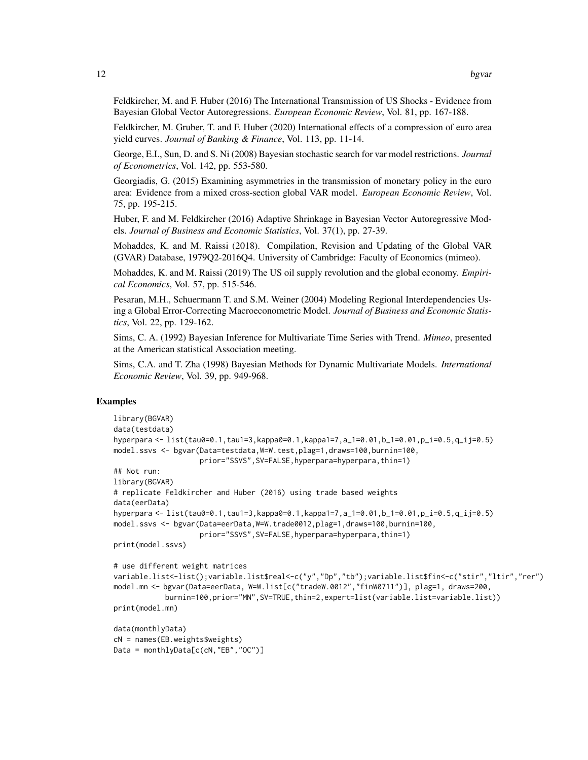Feldkircher, M. and F. Huber (2016) The International Transmission of US Shocks - Evidence from Bayesian Global Vector Autoregressions. *European Economic Review*, Vol. 81, pp. 167-188.

Feldkircher, M. Gruber, T. and F. Huber (2020) International effects of a compression of euro area yield curves. *Journal of Banking & Finance*, Vol. 113, pp. 11-14.

George, E.I., Sun, D. and S. Ni (2008) Bayesian stochastic search for var model restrictions. *Journal of Econometrics*, Vol. 142, pp. 553-580.

Georgiadis, G. (2015) Examining asymmetries in the transmission of monetary policy in the euro area: Evidence from a mixed cross-section global VAR model. *European Economic Review*, Vol. 75, pp. 195-215.

Huber, F. and M. Feldkircher (2016) Adaptive Shrinkage in Bayesian Vector Autoregressive Models. *Journal of Business and Economic Statistics*, Vol. 37(1), pp. 27-39.

Mohaddes, K. and M. Raissi (2018). Compilation, Revision and Updating of the Global VAR (GVAR) Database, 1979Q2-2016Q4. University of Cambridge: Faculty of Economics (mimeo).

Mohaddes, K. and M. Raissi (2019) The US oil supply revolution and the global economy. *Empirical Economics*, Vol. 57, pp. 515-546.

Pesaran, M.H., Schuermann T. and S.M. Weiner (2004) Modeling Regional Interdependencies Using a Global Error-Correcting Macroeconometric Model. *Journal of Business and Economic Statistics*, Vol. 22, pp. 129-162.

Sims, C. A. (1992) Bayesian Inference for Multivariate Time Series with Trend. *Mimeo*, presented at the American statistical Association meeting.

Sims, C.A. and T. Zha (1998) Bayesian Methods for Dynamic Multivariate Models. *International Economic Review*, Vol. 39, pp. 949-968.

# Examples

```
library(BGVAR)
data(testdata)
hyperpara <- list(tau0=0.1,tau1=3,kappa0=0.1,kappa1=7,a_1=0.01,b_1=0.01,p_i=0.5,q_ij=0.5)
model.ssvs <- bgvar(Data=testdata,W=W.test,plag=1,draws=100,burnin=100,
                    prior="SSVS",SV=FALSE,hyperpara=hyperpara,thin=1)
## Not run:
library(BGVAR)
# replicate Feldkircher and Huber (2016) using trade based weights
data(eerData)
hyperpara <- list(tau0=0.1,tau1=3,kappa0=0.1,kappa1=7,a_1=0.01,b_1=0.01,p_i=0.5,q_ij=0.5)
model.ssvs <- bgvar(Data=eerData,W=W.trade0012,plag=1,draws=100,burnin=100,
                    prior="SSVS",SV=FALSE,hyperpara=hyperpara,thin=1)
print(model.ssvs)
# use different weight matrices
variable.list<-list();variable.list$real<-c("y","Dp","tb");variable.list$fin<-c("stir","ltir","rer")
model.mn <- bgvar(Data=eerData, W=W.list[c("tradeW.0012","finW0711")], plag=1, draws=200,
            burnin=100,prior="MN",SV=TRUE,thin=2,expert=list(variable.list=variable.list))
print(model.mn)
data(monthlyData)
cN = names(EB.weights$weights)
```

```
Data = monthlyData[c(cN,"EB","OC")]
```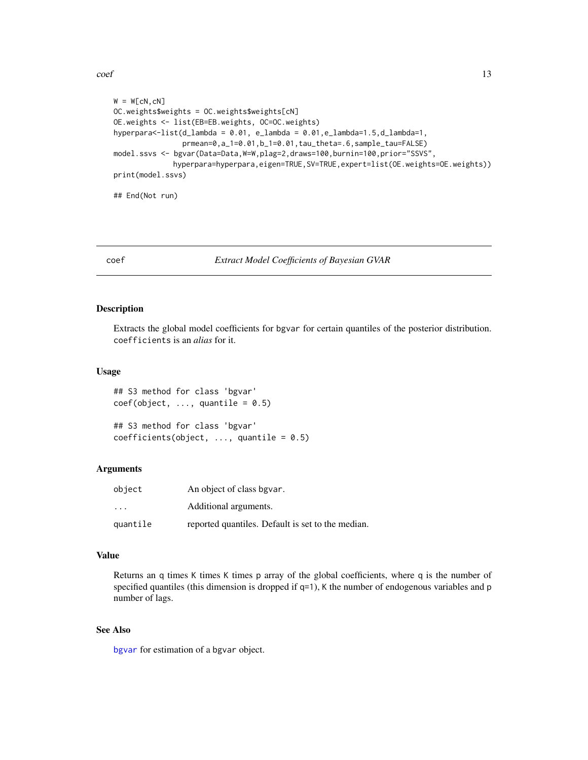<span id="page-12-0"></span> $\text{coeff}$  13

```
W = W[CN, CN]OC.weights$weights = OC.weights$weights[cN]
OE.weights <- list(EB=EB.weights, OC=OC.weights)
hyperpara<-list(d_lambda = 0.01, e_lambda = 0.01,e_lambda=1.5,d_lambda=1,
                prmean=0,a_1=0.01,b_1=0.01,tau_theta=.6,sample_tau=FALSE)
model.ssvs <- bgvar(Data=Data,W=W,plag=2,draws=100,burnin=100,prior="SSVS",
             hyperpara=hyperpara,eigen=TRUE,SV=TRUE,expert=list(OE.weights=OE.weights))
print(model.ssvs)
## End(Not run)
```
#### coef *Extract Model Coefficients of Bayesian GVAR*

#### Description

Extracts the global model coefficients for bgvar for certain quantiles of the posterior distribution. coefficients is an *alias* for it.

#### Usage

```
## S3 method for class 'bgvar'
coef(object, ..., quantile = 0.5)
```

```
## S3 method for class 'bgvar'
coefficients(object, ..., quantile = 0.5)
```
# Arguments

| object   | An object of class bgvar.                         |
|----------|---------------------------------------------------|
| .        | Additional arguments.                             |
| quantile | reported quantiles. Default is set to the median. |

# Value

Returns an q times K times K times p array of the global coefficients, where q is the number of specified quantiles (this dimension is dropped if  $q=1$ ), K the number of endogenous variables and p number of lags.

# See Also

[bgvar](#page-5-1) for estimation of a bgvar object.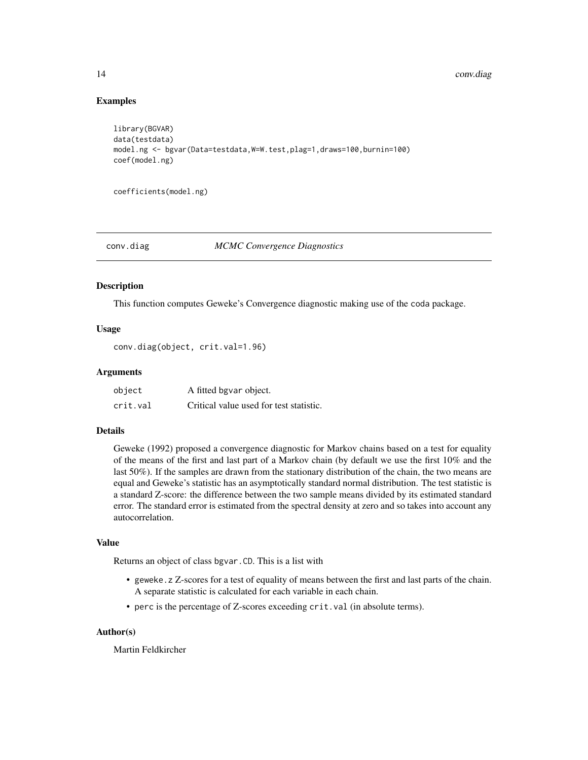# Examples

```
library(BGVAR)
data(testdata)
model.ng <- bgvar(Data=testdata,W=W.test,plag=1,draws=100,burnin=100)
coef(model.ng)
```
coefficients(model.ng)

#### conv.diag *MCMC Convergence Diagnostics*

#### Description

This function computes Geweke's Convergence diagnostic making use of the coda package.

## Usage

```
conv.diag(object, crit.val=1.96)
```
#### Arguments

| object   | A fitted bgvar object.                  |
|----------|-----------------------------------------|
| crit.val | Critical value used for test statistic. |

#### Details

Geweke (1992) proposed a convergence diagnostic for Markov chains based on a test for equality of the means of the first and last part of a Markov chain (by default we use the first 10% and the last 50%). If the samples are drawn from the stationary distribution of the chain, the two means are equal and Geweke's statistic has an asymptotically standard normal distribution. The test statistic is a standard Z-score: the difference between the two sample means divided by its estimated standard error. The standard error is estimated from the spectral density at zero and so takes into account any autocorrelation.

# Value

Returns an object of class bgvar.CD. This is a list with

- geweke.z Z-scores for a test of equality of means between the first and last parts of the chain. A separate statistic is calculated for each variable in each chain.
- perc is the percentage of Z-scores exceeding crit.val (in absolute terms).

# Author(s)

Martin Feldkircher

<span id="page-13-0"></span>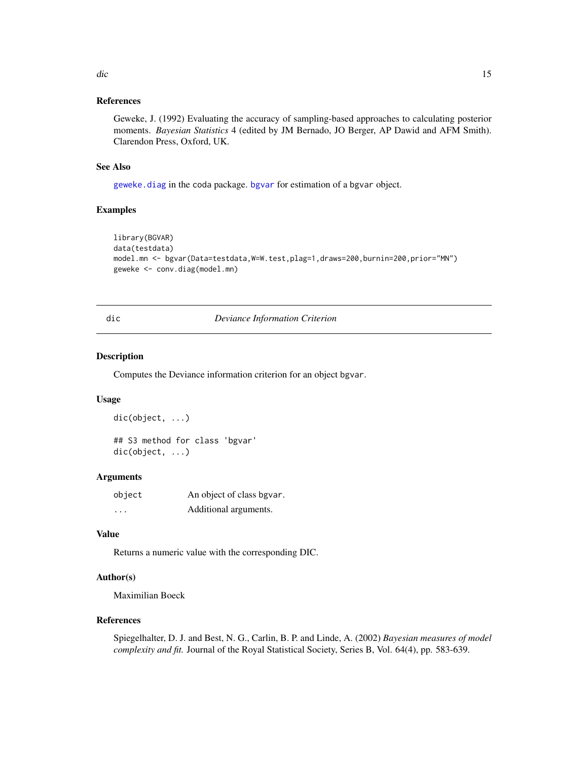#### <span id="page-14-0"></span>dic and the state of the state of the state of the state of the state of the state of the state of the state of the state of the state of the state of the state of the state of the state of the state of the state of the st

# References

Geweke, J. (1992) Evaluating the accuracy of sampling-based approaches to calculating posterior moments. *Bayesian Statistics* 4 (edited by JM Bernado, JO Berger, AP Dawid and AFM Smith). Clarendon Press, Oxford, UK.

#### See Also

[geweke.diag](#page-0-0) in the coda package. [bgvar](#page-5-1) for estimation of a bgvar object.

# Examples

```
library(BGVAR)
data(testdata)
model.mn <- bgvar(Data=testdata,W=W.test,plag=1,draws=200,burnin=200,prior="MN")
geweke <- conv.diag(model.mn)
```
#### dic *Deviance Information Criterion*

#### Description

Computes the Deviance information criterion for an object bgvar.

#### Usage

```
dic(object, ...)
```
## S3 method for class 'bgvar' dic(object, ...)

# Arguments

| object | An object of class bgvar. |
|--------|---------------------------|
| .      | Additional arguments.     |

# Value

Returns a numeric value with the corresponding DIC.

# Author(s)

Maximilian Boeck

#### References

Spiegelhalter, D. J. and Best, N. G., Carlin, B. P. and Linde, A. (2002) *Bayesian measures of model complexity and fit.* Journal of the Royal Statistical Society, Series B, Vol. 64(4), pp. 583-639.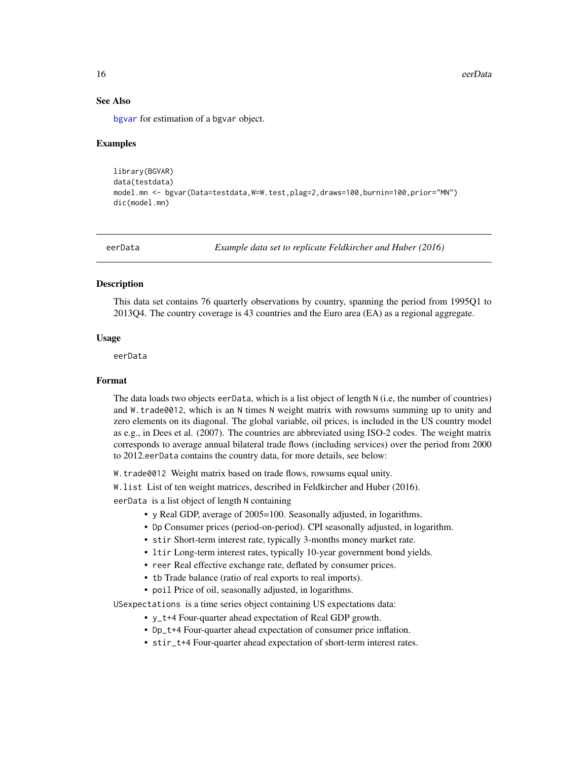16 eerData

#### See Also

[bgvar](#page-5-1) for estimation of a bgvar object.

#### Examples

```
library(BGVAR)
data(testdata)
model.mn <- bgvar(Data=testdata,W=W.test,plag=2,draws=100,burnin=100,prior="MN")
dic(model.mn)
```
eerData *Example data set to replicate Feldkircher and Huber (2016)*

# Description

This data set contains 76 quarterly observations by country, spanning the period from 1995Q1 to 2013Q4. The country coverage is 43 countries and the Euro area (EA) as a regional aggregate.

#### Usage

eerData

# Format

The data loads two objects eerData, which is a list object of length N (i.e, the number of countries) and W.trade0012, which is an N times N weight matrix with rowsums summing up to unity and zero elements on its diagonal. The global variable, oil prices, is included in the US country model as e.g., in Dees et al. (2007). The countries are abbreviated using ISO-2 codes. The weight matrix corresponds to average annual bilateral trade flows (including services) over the period from 2000 to 2012.eerData contains the country data, for more details, see below:

W.trade0012 Weight matrix based on trade flows, rowsums equal unity.

W.list List of ten weight matrices, described in Feldkircher and Huber (2016).

eerData is a list object of length N containing

- y Real GDP, average of 2005=100. Seasonally adjusted, in logarithms.
- Dp Consumer prices (period-on-period). CPI seasonally adjusted, in logarithm.
- stir Short-term interest rate, typically 3-months money market rate.
- ltir Long-term interest rates, typically 10-year government bond yields.
- reer Real effective exchange rate, deflated by consumer prices.
- tb Trade balance (ratio of real exports to real imports).
- poil Price of oil, seasonally adjusted, in logarithms.

USexpectations is a time series object containing US expectations data:

- y\_t+4 Four-quarter ahead expectation of Real GDP growth.
- Dp\_t+4 Four-quarter ahead expectation of consumer price inflation.
- stir\_t+4 Four-quarter ahead expectation of short-term interest rates.

<span id="page-15-0"></span>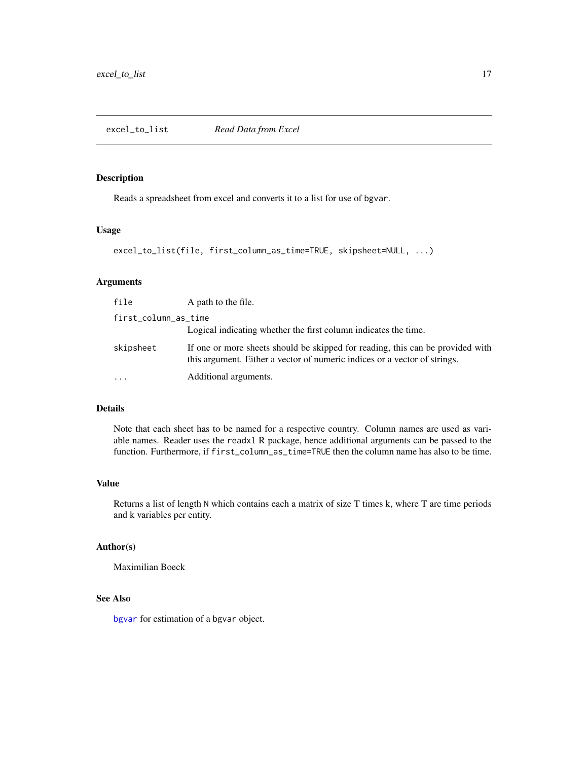# <span id="page-16-0"></span>Description

Reads a spreadsheet from excel and converts it to a list for use of bgvar.

#### Usage

```
excel_to_list(file, first_column_as_time=TRUE, skipsheet=NULL, ...)
```
# Arguments

| file                 | A path to the file.                                                                                                                                         |
|----------------------|-------------------------------------------------------------------------------------------------------------------------------------------------------------|
| first_column_as_time |                                                                                                                                                             |
|                      | Logical indicating whether the first column indicates the time.                                                                                             |
| skipsheet            | If one or more sheets should be skipped for reading, this can be provided with<br>this argument. Either a vector of numeric indices or a vector of strings. |
| $\ddotsc$            | Additional arguments.                                                                                                                                       |

# Details

Note that each sheet has to be named for a respective country. Column names are used as variable names. Reader uses the readxl R package, hence additional arguments can be passed to the function. Furthermore, if first\_column\_as\_time=TRUE then the column name has also to be time.

#### Value

Returns a list of length N which contains each a matrix of size T times k, where T are time periods and k variables per entity.

#### Author(s)

Maximilian Boeck

# See Also

[bgvar](#page-5-1) for estimation of a bgvar object.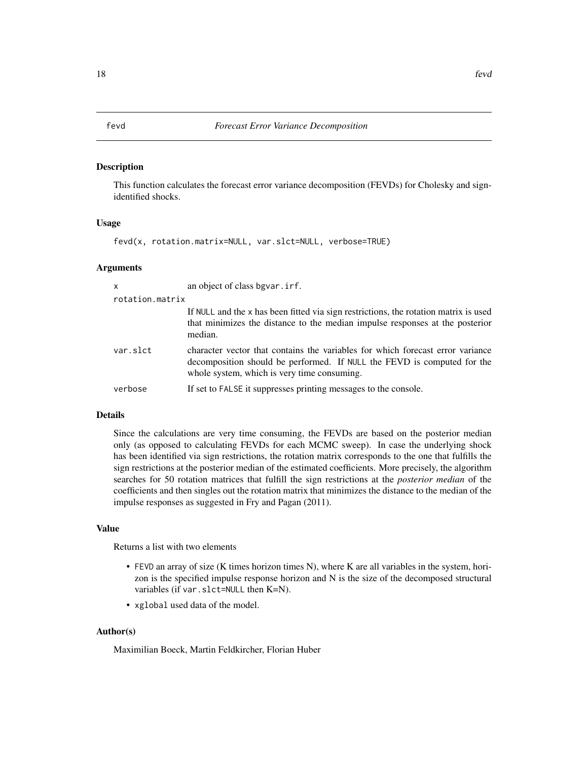#### <span id="page-17-0"></span>**Description**

This function calculates the forecast error variance decomposition (FEVDs) for Cholesky and signidentified shocks.

#### Usage

```
fevd(x, rotation.matrix=NULL, var.slct=NULL, verbose=TRUE)
```
#### Arguments

| $\mathsf{x}$    | an object of class bgvar. irf.                                                                                                                                                                           |
|-----------------|----------------------------------------------------------------------------------------------------------------------------------------------------------------------------------------------------------|
| rotation.matrix |                                                                                                                                                                                                          |
|                 | If NULL and the x has been fitted via sign restrictions, the rotation matrix is used<br>that minimizes the distance to the median impulse responses at the posterior<br>median.                          |
| var.slct        | character vector that contains the variables for which forecast error variance<br>decomposition should be performed. If NULL the FEVD is computed for the<br>whole system, which is very time consuming. |
| verbose         | If set to FALSE it suppresses printing messages to the console.                                                                                                                                          |

# Details

Since the calculations are very time consuming, the FEVDs are based on the posterior median only (as opposed to calculating FEVDs for each MCMC sweep). In case the underlying shock has been identified via sign restrictions, the rotation matrix corresponds to the one that fulfills the sign restrictions at the posterior median of the estimated coefficients. More precisely, the algorithm searches for 50 rotation matrices that fulfill the sign restrictions at the *posterior median* of the coefficients and then singles out the rotation matrix that minimizes the distance to the median of the impulse responses as suggested in Fry and Pagan (2011).

### Value

Returns a list with two elements

- FEVD an array of size (K times horizon times N), where K are all variables in the system, horizon is the specified impulse response horizon and N is the size of the decomposed structural variables (if var.slct=NULL then K=N).
- xglobal used data of the model.

# Author(s)

Maximilian Boeck, Martin Feldkircher, Florian Huber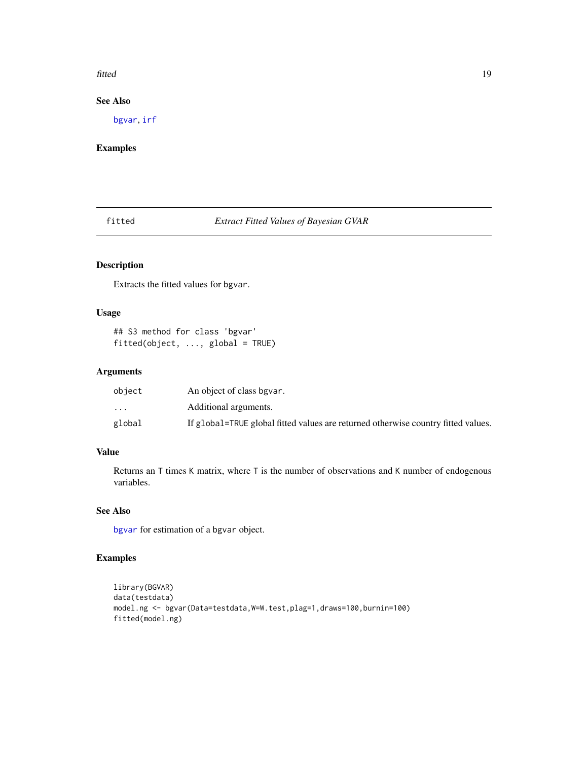#### <span id="page-18-0"></span>fitted the contract of the contract of the contract of the contract of the contract of the contract of the contract of the contract of the contract of the contract of the contract of the contract of the contract of the con

# See Also

[bgvar](#page-5-1), [irf](#page-22-1)

# Examples

fitted *Extract Fitted Values of Bayesian GVAR*

# Description

Extracts the fitted values for bgvar.

# Usage

```
## S3 method for class 'bgvar'
fitted(object, ..., global = TRUE)
```
# Arguments

| object                  | An object of class bgvar.                                                         |
|-------------------------|-----------------------------------------------------------------------------------|
| $\cdot$ $\cdot$ $\cdot$ | Additional arguments.                                                             |
| global                  | If global=TRUE global fitted values are returned otherwise country fitted values. |

# Value

Returns an T times K matrix, where T is the number of observations and K number of endogenous variables.

# See Also

[bgvar](#page-5-1) for estimation of a bgvar object.

# Examples

```
library(BGVAR)
data(testdata)
model.ng <- bgvar(Data=testdata,W=W.test,plag=1,draws=100,burnin=100)
fitted(model.ng)
```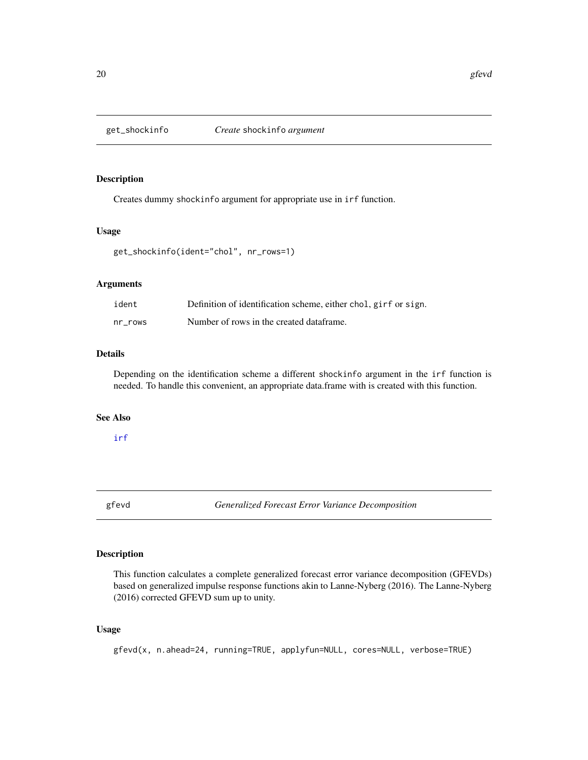<span id="page-19-1"></span><span id="page-19-0"></span>

# Description

Creates dummy shockinfo argument for appropriate use in irf function.

# Usage

get\_shockinfo(ident="chol", nr\_rows=1)

# Arguments

| ident   | Definition of identification scheme, either chol, girf or sign. |
|---------|-----------------------------------------------------------------|
| nr rows | Number of rows in the created dataframe.                        |

# Details

Depending on the identification scheme a different shockinfo argument in the irf function is needed. To handle this convenient, an appropriate data.frame with is created with this function.

#### See Also

# [irf](#page-22-1)

gfevd *Generalized Forecast Error Variance Decomposition*

# Description

This function calculates a complete generalized forecast error variance decomposition (GFEVDs) based on generalized impulse response functions akin to Lanne-Nyberg (2016). The Lanne-Nyberg (2016) corrected GFEVD sum up to unity.

# Usage

gfevd(x, n.ahead=24, running=TRUE, applyfun=NULL, cores=NULL, verbose=TRUE)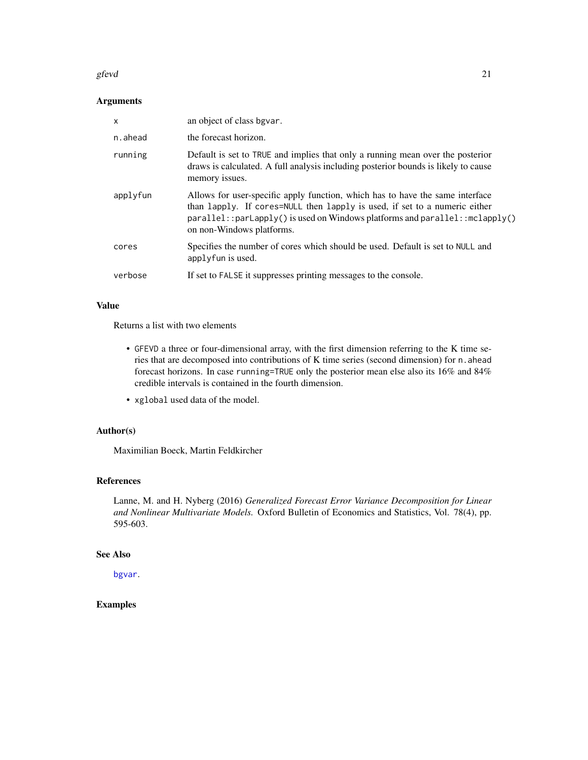#### <span id="page-20-0"></span>gfevd 21

# Arguments

| $\mathsf{x}$ | an object of class bgvar.                                                                                                                                                                                                                                                   |
|--------------|-----------------------------------------------------------------------------------------------------------------------------------------------------------------------------------------------------------------------------------------------------------------------------|
| n.ahead      | the forecast horizon.                                                                                                                                                                                                                                                       |
| running      | Default is set to TRUE and implies that only a running mean over the posterior<br>draws is calculated. A full analysis including posterior bounds is likely to cause<br>memory issues.                                                                                      |
| applyfun     | Allows for user-specific apply function, which has to have the same interface<br>than lapply. If cores=NULL then lapply is used, if set to a numeric either<br>$parallel::parLapply()$ is used on Windows platforms and $parallel::mclapply()$<br>on non-Windows platforms. |
| cores        | Specifies the number of cores which should be used. Default is set to NULL and<br>applyfun is used.                                                                                                                                                                         |
| verbose      | If set to FALSE it suppresses printing messages to the console.                                                                                                                                                                                                             |

# Value

Returns a list with two elements

- GFEVD a three or four-dimensional array, with the first dimension referring to the K time series that are decomposed into contributions of K time series (second dimension) for n. ahead forecast horizons. In case running=TRUE only the posterior mean else also its 16% and 84% credible intervals is contained in the fourth dimension.
- xglobal used data of the model.

# Author(s)

Maximilian Boeck, Martin Feldkircher

# References

Lanne, M. and H. Nyberg (2016) *Generalized Forecast Error Variance Decomposition for Linear and Nonlinear Multivariate Models.* Oxford Bulletin of Economics and Statistics, Vol. 78(4), pp. 595-603.

# See Also

[bgvar](#page-5-1).

# Examples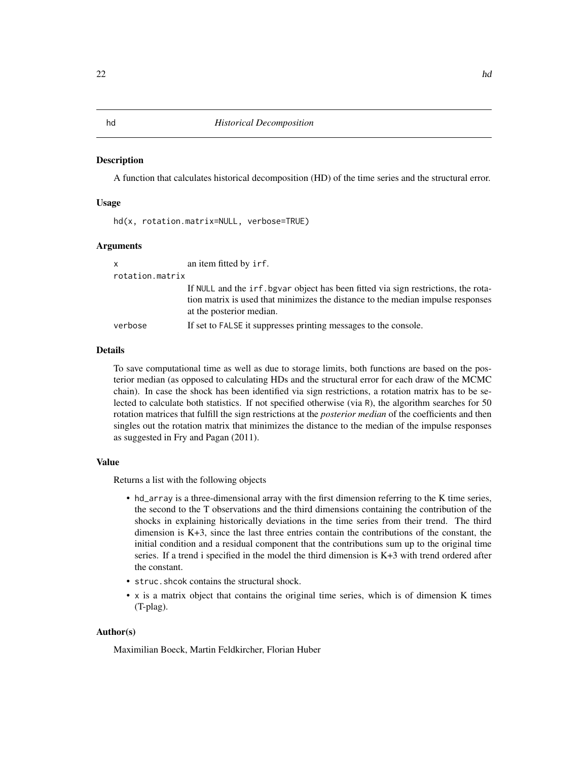#### <span id="page-21-0"></span>**Description**

A function that calculates historical decomposition (HD) of the time series and the structural error.

# Usage

hd(x, rotation.matrix=NULL, verbose=TRUE)

# Arguments

| X               | an item fitted by irf.                                                                                                                                                                            |  |
|-----------------|---------------------------------------------------------------------------------------------------------------------------------------------------------------------------------------------------|--|
| rotation.matrix |                                                                                                                                                                                                   |  |
|                 | If NULL and the irf. bgvar object has been fitted via sign restrictions, the rota-<br>tion matrix is used that minimizes the distance to the median impulse responses<br>at the posterior median. |  |
| verbose         | If set to FALSE it suppresses printing messages to the console.                                                                                                                                   |  |

# Details

To save computational time as well as due to storage limits, both functions are based on the posterior median (as opposed to calculating HDs and the structural error for each draw of the MCMC chain). In case the shock has been identified via sign restrictions, a rotation matrix has to be selected to calculate both statistics. If not specified otherwise (via R), the algorithm searches for 50 rotation matrices that fulfill the sign restrictions at the *posterior median* of the coefficients and then singles out the rotation matrix that minimizes the distance to the median of the impulse responses as suggested in Fry and Pagan (2011).

# Value

Returns a list with the following objects

- hd\_array is a three-dimensional array with the first dimension referring to the K time series, the second to the T observations and the third dimensions containing the contribution of the shocks in explaining historically deviations in the time series from their trend. The third dimension is K+3, since the last three entries contain the contributions of the constant, the initial condition and a residual component that the contributions sum up to the original time series. If a trend i specified in the model the third dimension is K+3 with trend ordered after the constant.
- struc.shcok contains the structural shock.
- x is a matrix object that contains the original time series, which is of dimension K times (T-plag).

# Author(s)

Maximilian Boeck, Martin Feldkircher, Florian Huber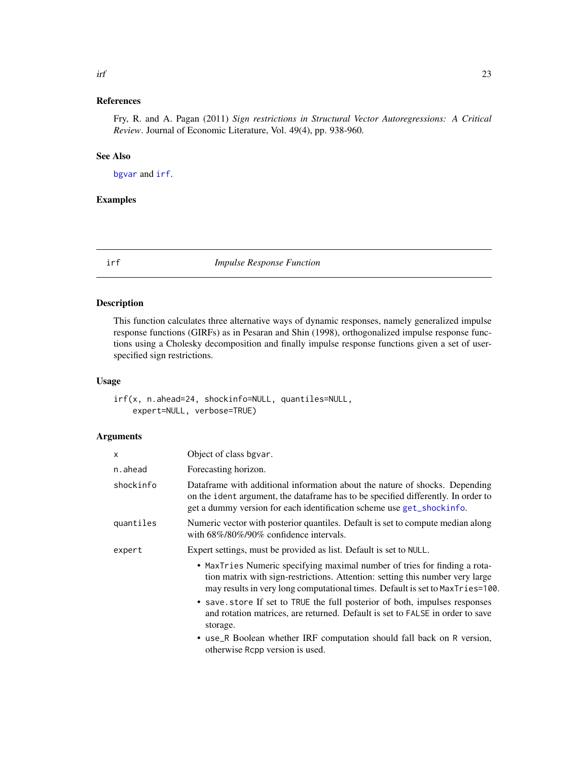# <span id="page-22-0"></span>References

Fry, R. and A. Pagan (2011) *Sign restrictions in Structural Vector Autoregressions: A Critical Review*. Journal of Economic Literature, Vol. 49(4), pp. 938-960.

# See Also

[bgvar](#page-5-1) and [irf](#page-22-1).

# Examples

<span id="page-22-1"></span>

irf *Impulse Response Function*

# Description

This function calculates three alternative ways of dynamic responses, namely generalized impulse response functions (GIRFs) as in Pesaran and Shin (1998), orthogonalized impulse response functions using a Cholesky decomposition and finally impulse response functions given a set of userspecified sign restrictions.

# Usage

irf(x, n.ahead=24, shockinfo=NULL, quantiles=NULL, expert=NULL, verbose=TRUE)

#### Arguments

| X         | Object of class bgvar.                                                                                                                                                                                                                                                                                                                                                                                                                                                                                                              |  |
|-----------|-------------------------------------------------------------------------------------------------------------------------------------------------------------------------------------------------------------------------------------------------------------------------------------------------------------------------------------------------------------------------------------------------------------------------------------------------------------------------------------------------------------------------------------|--|
| n.ahead   | Forecasting horizon.                                                                                                                                                                                                                                                                                                                                                                                                                                                                                                                |  |
| shockinfo | Dataframe with additional information about the nature of shocks. Depending<br>on the ident argument, the dataframe has to be specified differently. In order to<br>get a dummy version for each identification scheme use get_shockinfo.                                                                                                                                                                                                                                                                                           |  |
| quantiles | Numeric vector with posterior quantiles. Default is set to compute median along<br>with $68\%/80\%/90\%$ confidence intervals.                                                                                                                                                                                                                                                                                                                                                                                                      |  |
| expert    | Expert settings, must be provided as list. Default is set to NULL.                                                                                                                                                                                                                                                                                                                                                                                                                                                                  |  |
|           | • MaxTries Numeric specifying maximal number of tries for finding a rota-<br>tion matrix with sign-restrictions. Attention: setting this number very large<br>may results in very long computational times. Default is set to MaxTries=100.<br>• save store If set to TRUE the full posterior of both, impulses responses<br>and rotation matrices, are returned. Default is set to FALSE in order to save<br>storage.<br>• use_R Boolean whether IRF computation should fall back on R version,<br>otherwise Repp version is used. |  |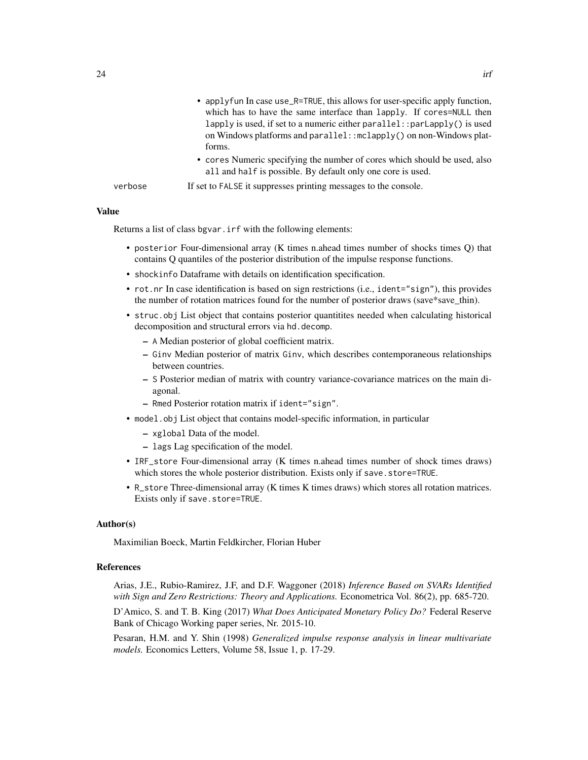|         | • applyfun In case use_R=TRUE, this allows for user-specific apply function,<br>which has to have the same interface than lapply. If cores=NULL then<br>lapply is used, if set to a numeric either parallel: : $parLapp1y()$ is used<br>on Windows platforms and parallel: : mclapply() on non-Windows plat-<br>forms. |
|---------|------------------------------------------------------------------------------------------------------------------------------------------------------------------------------------------------------------------------------------------------------------------------------------------------------------------------|
|         | • cores Numeric specifying the number of cores which should be used, also<br>all and half is possible. By default only one core is used.                                                                                                                                                                               |
| verbose | If set to FALSE it suppresses printing messages to the console.                                                                                                                                                                                                                                                        |

#### Value

Returns a list of class bgvar.irf with the following elements:

- posterior Four-dimensional array (K times n.ahead times number of shocks times Q) that contains Q quantiles of the posterior distribution of the impulse response functions.
- shockinfo Dataframe with details on identification specification.
- rot.nr In case identification is based on sign restrictions (i.e., ident="sign"), this provides the number of rotation matrices found for the number of posterior draws (save\*save\_thin).
- struc.obj List object that contains posterior quantitites needed when calculating historical decomposition and structural errors via hd.decomp.
	- A Median posterior of global coefficient matrix.
	- Ginv Median posterior of matrix Ginv, which describes contemporaneous relationships between countries.
	- S Posterior median of matrix with country variance-covariance matrices on the main diagonal.
	- Rmed Posterior rotation matrix if ident="sign".
- model.obj List object that contains model-specific information, in particular
	- xglobal Data of the model.
	- lags Lag specification of the model.
- IRF\_store Four-dimensional array (K times n.ahead times number of shock times draws) which stores the whole posterior distribution. Exists only if save.store=TRUE.
- R\_store Three-dimensional array (K times K times draws) which stores all rotation matrices. Exists only if save.store=TRUE.

#### Author(s)

Maximilian Boeck, Martin Feldkircher, Florian Huber

#### References

Arias, J.E., Rubio-Ramirez, J.F, and D.F. Waggoner (2018) *Inference Based on SVARs Identified with Sign and Zero Restrictions: Theory and Applications.* Econometrica Vol. 86(2), pp. 685-720.

D'Amico, S. and T. B. King (2017) *What Does Anticipated Monetary Policy Do?* Federal Reserve Bank of Chicago Working paper series, Nr. 2015-10.

Pesaran, H.M. and Y. Shin (1998) *Generalized impulse response analysis in linear multivariate models.* Economics Letters, Volume 58, Issue 1, p. 17-29.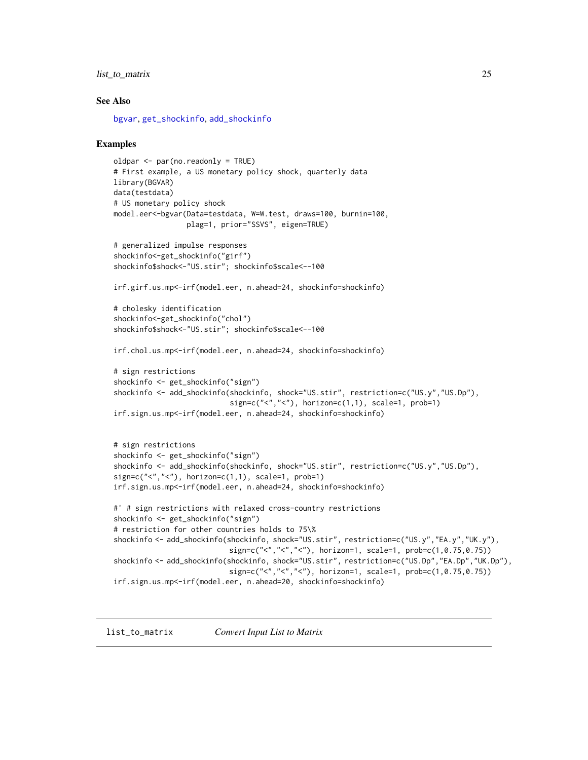# <span id="page-24-0"></span>list\_to\_matrix 25

#### See Also

[bgvar](#page-5-1), [get\\_shockinfo](#page-19-1), [add\\_shockinfo](#page-2-1)

#### Examples

```
oldpar <- par(no.readonly = TRUE)
# First example, a US monetary policy shock, quarterly data
library(BGVAR)
data(testdata)
# US monetary policy shock
model.eer<-bgvar(Data=testdata, W=W.test, draws=100, burnin=100,
                 plag=1, prior="SSVS", eigen=TRUE)
# generalized impulse responses
shockinfo<-get_shockinfo("girf")
shockinfo$shock<-"US.stir"; shockinfo$scale<--100
irf.girf.us.mp<-irf(model.eer, n.ahead=24, shockinfo=shockinfo)
# cholesky identification
shockinfo<-get_shockinfo("chol")
shockinfo$shock<-"US.stir"; shockinfo$scale<--100
irf.chol.us.mp<-irf(model.eer, n.ahead=24, shockinfo=shockinfo)
# sign restrictions
shockinfo <- get_shockinfo("sign")
shockinfo <- add_shockinfo(shockinfo, shock="US.stir", restriction=c("US.y","US.Dp"),
                           sign=c("<", "<"), horizon=c(1,1), scale=1, prob=1)
irf.sign.us.mp<-irf(model.eer, n.ahead=24, shockinfo=shockinfo)
# sign restrictions
shockinfo <- get_shockinfo("sign")
shockinfo <- add_shockinfo(shockinfo, shock="US.stir", restriction=c("US.y","US.Dp"),
sign=c("<", "<"), horizon=c(1,1), scale=1, prob=1)
irf.sign.us.mp<-irf(model.eer, n.ahead=24, shockinfo=shockinfo)
#' # sign restrictions with relaxed cross-country restrictions
shockinfo <- get_shockinfo("sign")
# restriction for other countries holds to 75\%
shockinfo <- add_shockinfo(shockinfo, shock="US.stir", restriction=c("US.y","EA.y","UK.y"),
                           sign=c("<","<","<"), horizon=1, scale=1, prob=c(1,0.75,0.75))
shockinfo <- add_shockinfo(shockinfo, shock="US.stir", restriction=c("US.Dp","EA.Dp","UK.Dp"),
                           sign=c("<","<","<"), horizon=1, scale=1, prob=c(1,0.75,0.75))
irf.sign.us.mp<-irf(model.eer, n.ahead=20, shockinfo=shockinfo)
```
list\_to\_matrix *Convert Input List to Matrix*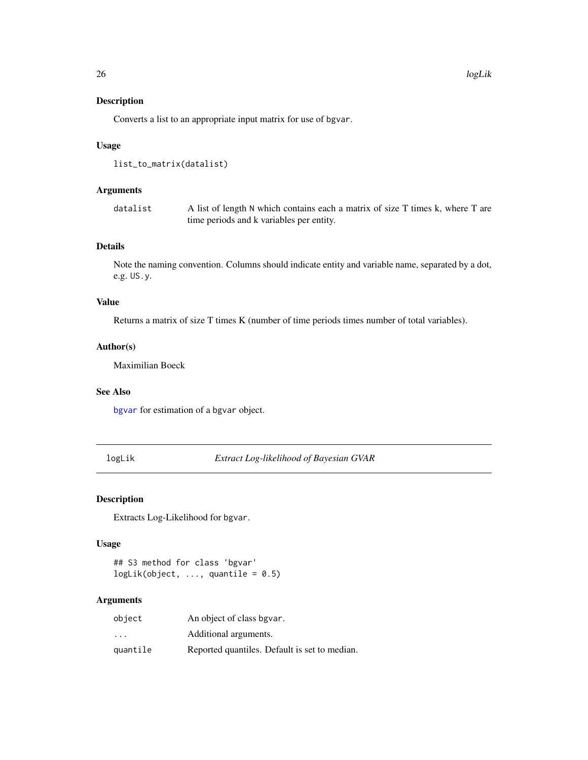# Description

Converts a list to an appropriate input matrix for use of bgvar.

# Usage

```
list_to_matrix(datalist)
```
# Arguments

datalist A list of length N which contains each a matrix of size T times k, where T are time periods and k variables per entity.

# Details

Note the naming convention. Columns should indicate entity and variable name, separated by a dot, e.g. US.y.

# Value

Returns a matrix of size T times K (number of time periods times number of total variables).

#### Author(s)

Maximilian Boeck

# See Also

[bgvar](#page-5-1) for estimation of a bgvar object.

logLik *Extract Log-likelihood of Bayesian GVAR*

#### Description

Extracts Log-Likelihood for bgvar.

# Usage

## S3 method for class 'bgvar'  $logLik(object, ..., quantile = 0.5)$ 

#### Arguments

| object   | An object of class bgvar.                     |
|----------|-----------------------------------------------|
| .        | Additional arguments.                         |
| quantile | Reported quantiles. Default is set to median. |

<span id="page-25-0"></span>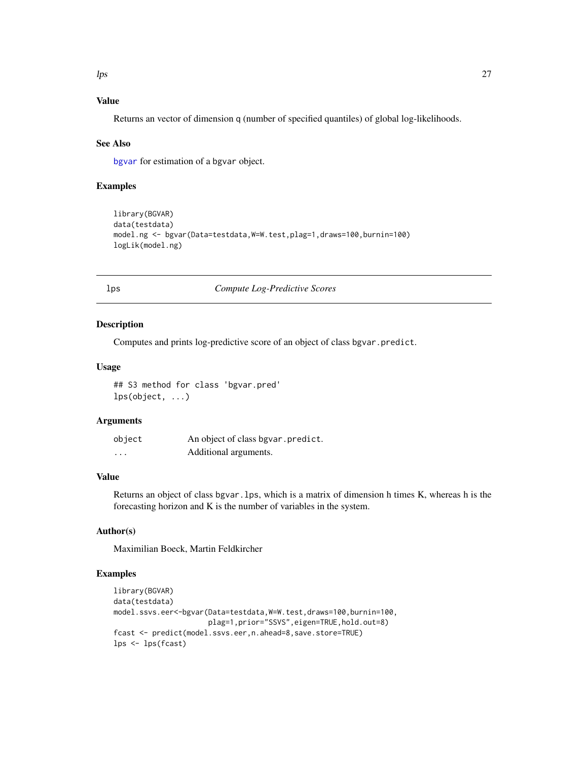# <span id="page-26-0"></span>Value

Returns an vector of dimension q (number of specified quantiles) of global log-likelihoods.

#### See Also

[bgvar](#page-5-1) for estimation of a bgvar object.

# Examples

```
library(BGVAR)
data(testdata)
model.ng <- bgvar(Data=testdata,W=W.test,plag=1,draws=100,burnin=100)
logLik(model.ng)
```
#### lps *Compute Log-Predictive Scores*

#### Description

Computes and prints log-predictive score of an object of class bgvar.predict.

#### Usage

## S3 method for class 'bgvar.pred' lps(object, ...)

#### Arguments

| object   | An object of class bgvar.predict. |
|----------|-----------------------------------|
| $\cdots$ | Additional arguments.             |

# Value

Returns an object of class bgvar.lps, which is a matrix of dimension h times K, whereas h is the forecasting horizon and K is the number of variables in the system.

# Author(s)

Maximilian Boeck, Martin Feldkircher

# Examples

```
library(BGVAR)
data(testdata)
model.ssvs.eer<-bgvar(Data=testdata,W=W.test,draws=100,burnin=100,
                      plag=1,prior="SSVS",eigen=TRUE,hold.out=8)
fcast <- predict(model.ssvs.eer,n.ahead=8,save.store=TRUE)
lps <- lps(fcast)
```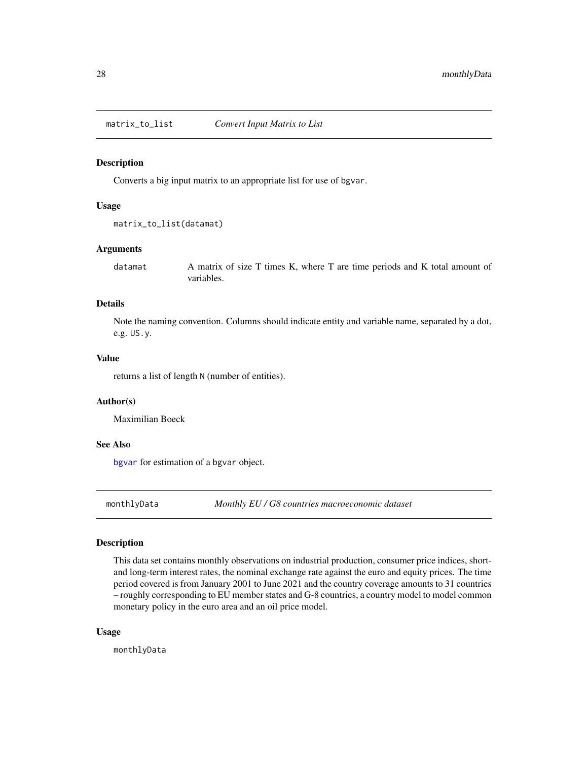<span id="page-27-0"></span>matrix\_to\_list *Convert Input Matrix to List*

#### Description

Converts a big input matrix to an appropriate list for use of bgvar.

#### Usage

```
matrix_to_list(datamat)
```
# Arguments

datamat A matrix of size T times K, where T are time periods and K total amount of variables.

# Details

Note the naming convention. Columns should indicate entity and variable name, separated by a dot, e.g. US.y.

# Value

returns a list of length N (number of entities).

# Author(s)

Maximilian Boeck

# See Also

[bgvar](#page-5-1) for estimation of a bgvar object.

monthlyData *Monthly EU / G8 countries macroeconomic dataset*

## Description

This data set contains monthly observations on industrial production, consumer price indices, shortand long-term interest rates, the nominal exchange rate against the euro and equity prices. The time period covered is from January 2001 to June 2021 and the country coverage amounts to 31 countries – roughly corresponding to EU member states and G-8 countries, a country model to model common monetary policy in the euro area and an oil price model.

#### Usage

monthlyData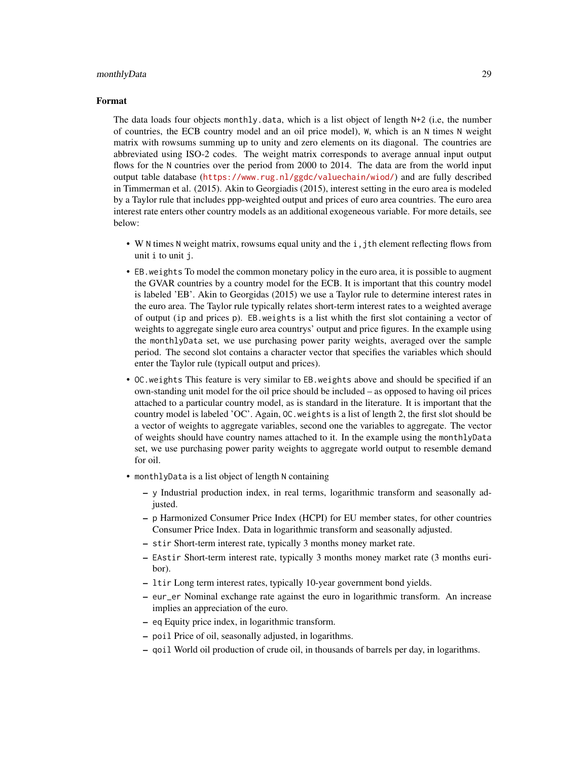#### monthlyData 29

#### Format

The data loads four objects monthly.data, which is a list object of length N+2 (i.e, the number of countries, the ECB country model and an oil price model), W, which is an N times N weight matrix with rowsums summing up to unity and zero elements on its diagonal. The countries are abbreviated using ISO-2 codes. The weight matrix corresponds to average annual input output flows for the N countries over the period from 2000 to 2014. The data are from the world input output table database (<https://www.rug.nl/ggdc/valuechain/wiod/>) and are fully described in Timmerman et al. (2015). Akin to Georgiadis (2015), interest setting in the euro area is modeled by a Taylor rule that includes ppp-weighted output and prices of euro area countries. The euro area interest rate enters other country models as an additional exogeneous variable. For more details, see below:

- W N times N weight matrix, rowsums equal unity and the i, jth element reflecting flows from unit i to unit j.
- EB.weights To model the common monetary policy in the euro area, it is possible to augment the GVAR countries by a country model for the ECB. It is important that this country model is labeled 'EB'. Akin to Georgidas (2015) we use a Taylor rule to determine interest rates in the euro area. The Taylor rule typically relates short-term interest rates to a weighted average of output (ip and prices p). EB.weights is a list whith the first slot containing a vector of weights to aggregate single euro area countrys' output and price figures. In the example using the monthlyData set, we use purchasing power parity weights, averaged over the sample period. The second slot contains a character vector that specifies the variables which should enter the Taylor rule (typicall output and prices).
- OC.weights This feature is very similar to EB.weights above and should be specified if an own-standing unit model for the oil price should be included – as opposed to having oil prices attached to a particular country model, as is standard in the literature. It is important that the country model is labeled 'OC'. Again, OC.weights is a list of length 2, the first slot should be a vector of weights to aggregate variables, second one the variables to aggregate. The vector of weights should have country names attached to it. In the example using the monthlyData set, we use purchasing power parity weights to aggregate world output to resemble demand for oil.
- monthlyData is a list object of length N containing
	- y Industrial production index, in real terms, logarithmic transform and seasonally adjusted.
	- p Harmonized Consumer Price Index (HCPI) for EU member states, for other countries Consumer Price Index. Data in logarithmic transform and seasonally adjusted.
	- stir Short-term interest rate, typically 3 months money market rate.
	- EAstir Short-term interest rate, typically 3 months money market rate (3 months euribor).
	- ltir Long term interest rates, typically 10-year government bond yields.
	- eur\_er Nominal exchange rate against the euro in logarithmic transform. An increase implies an appreciation of the euro.
	- eq Equity price index, in logarithmic transform.
	- poil Price of oil, seasonally adjusted, in logarithms.
	- qoil World oil production of crude oil, in thousands of barrels per day, in logarithms.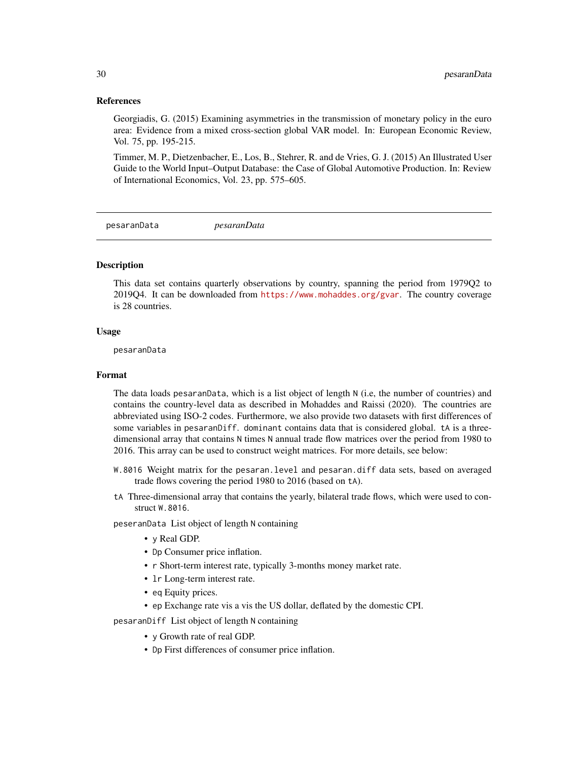# <span id="page-29-0"></span>References

Georgiadis, G. (2015) Examining asymmetries in the transmission of monetary policy in the euro area: Evidence from a mixed cross-section global VAR model. In: European Economic Review, Vol. 75, pp. 195-215.

Timmer, M. P., Dietzenbacher, E., Los, B., Stehrer, R. and de Vries, G. J. (2015) An Illustrated User Guide to the World Input–Output Database: the Case of Global Automotive Production. In: Review of International Economics, Vol. 23, pp. 575–605.

pesaranData *pesaranData*

#### Description

This data set contains quarterly observations by country, spanning the period from 1979Q2 to 2019Q4. It can be downloaded from <https://www.mohaddes.org/gvar>. The country coverage is 28 countries.

#### Usage

pesaranData

# Format

The data loads pesaranData, which is a list object of length N (i.e, the number of countries) and contains the country-level data as described in Mohaddes and Raissi (2020). The countries are abbreviated using ISO-2 codes. Furthermore, we also provide two datasets with first differences of some variables in pesaranDiff. dominant contains data that is considered global. tA is a threedimensional array that contains N times N annual trade flow matrices over the period from 1980 to 2016. This array can be used to construct weight matrices. For more details, see below:

- W.8016 Weight matrix for the pesaran.level and pesaran.diff data sets, based on averaged trade flows covering the period 1980 to 2016 (based on tA).
- tA Three-dimensional array that contains the yearly, bilateral trade flows, which were used to construct W.8016.

peseranData List object of length N containing

- y Real GDP.
- Dp Consumer price inflation.
- r Short-term interest rate, typically 3-months money market rate.
- lr Long-term interest rate.
- eq Equity prices.
- ep Exchange rate vis a vis the US dollar, deflated by the domestic CPI.

pesaranDiff List object of length N containing

- y Growth rate of real GDP.
- Dp First differences of consumer price inflation.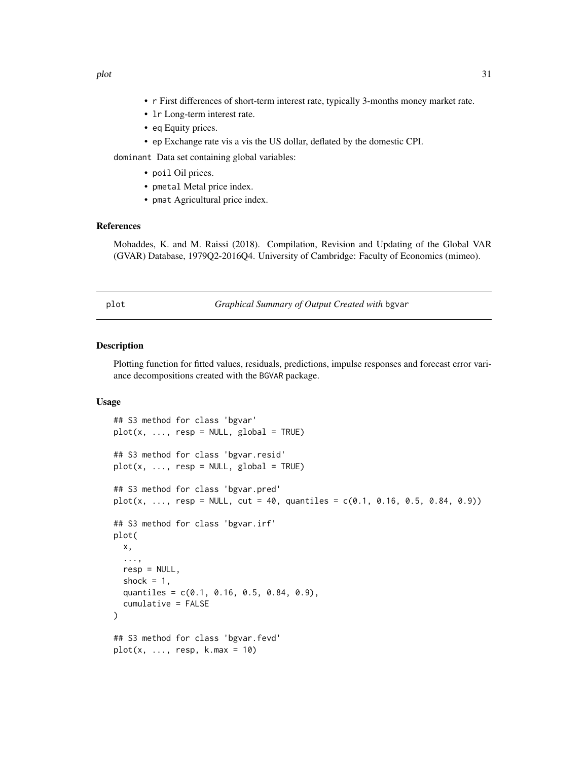- <span id="page-30-0"></span>• r First differences of short-term interest rate, typically 3-months money market rate.
- lr Long-term interest rate.
- eq Equity prices.
- ep Exchange rate vis a vis the US dollar, deflated by the domestic CPI.

dominant Data set containing global variables:

- poil Oil prices.
- pmetal Metal price index.
- pmat Agricultural price index.

# References

Mohaddes, K. and M. Raissi (2018). Compilation, Revision and Updating of the Global VAR (GVAR) Database, 1979Q2-2016Q4. University of Cambridge: Faculty of Economics (mimeo).

plot *Graphical Summary of Output Created with* bgvar

#### Description

Plotting function for fitted values, residuals, predictions, impulse responses and forecast error variance decompositions created with the BGVAR package.

# Usage

```
## S3 method for class 'bgvar'
plot(x, ..., resp = NULL, global = TRUE)## S3 method for class 'bgvar.resid'
plot(x, ..., resp = NULL, global = TRUE)## S3 method for class 'bgvar.pred'
plot(x, ..., resp = NULL, cut = 40, quantiles = c(0.1, 0.16, 0.5, 0.84, 0.9))## S3 method for class 'bgvar.irf'
plot(
 x,
  ...,
 resp = NULL,shock = 1,
 quantiles = c(0.1, 0.16, 0.5, 0.84, 0.9),
 cumulative = FALSE
)
## S3 method for class 'bgvar.fevd'
plot(x, ..., resp, k.max = 10)
```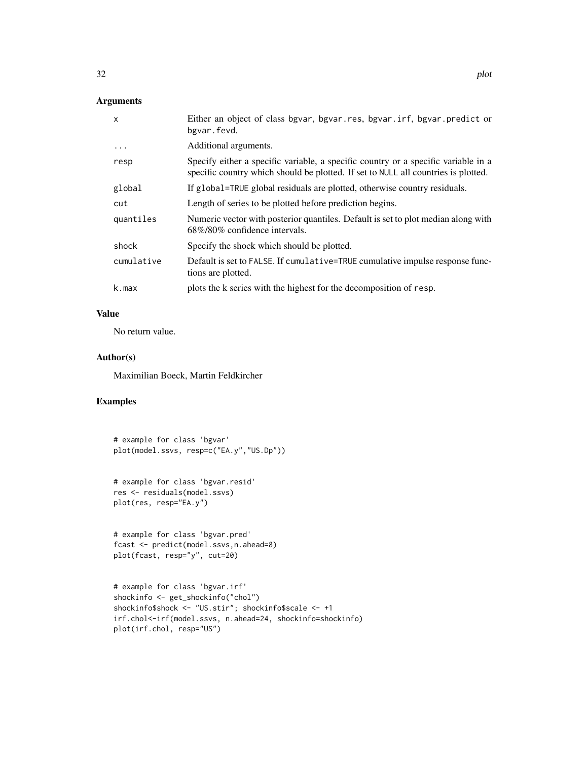# Arguments

| $\mathsf{x}$ | Either an object of class bgvar, bgvar.res, bgvar.irf, bgvar.predict or<br>bgvar.fevd.                                                                                   |
|--------------|--------------------------------------------------------------------------------------------------------------------------------------------------------------------------|
| $\cdots$     | Additional arguments.                                                                                                                                                    |
| resp         | Specify either a specific variable, a specific country or a specific variable in a<br>specific country which should be plotted. If set to NULL all countries is plotted. |
| global       | If global=TRUE global residuals are plotted, otherwise country residuals.                                                                                                |
| cut          | Length of series to be plotted before prediction begins.                                                                                                                 |
| quantiles    | Numeric vector with posterior quantiles. Default is set to plot median along with<br>$68\%/80\%$ confidence intervals.                                                   |
| shock        | Specify the shock which should be plotted.                                                                                                                               |
| cumulative   | Default is set to FALSE. If cumulative=TRUE cumulative impulse response func-<br>tions are plotted.                                                                      |
| k.max        | plots the k series with the highest for the decomposition of resp.                                                                                                       |

# Value

No return value.

#### Author(s)

Maximilian Boeck, Martin Feldkircher

# Examples

# example for class 'bgvar' plot(model.ssvs, resp=c("EA.y","US.Dp"))

# example for class 'bgvar.resid' res <- residuals(model.ssvs) plot(res, resp="EA.y")

```
# example for class 'bgvar.pred'
fcast <- predict(model.ssvs,n.ahead=8)
plot(fcast, resp="y", cut=20)
```

```
# example for class 'bgvar.irf'
shockinfo <- get_shockinfo("chol")
shockinfo$shock <- "US.stir"; shockinfo$scale <- +1
irf.chol<-irf(model.ssvs, n.ahead=24, shockinfo=shockinfo)
plot(irf.chol, resp="US")
```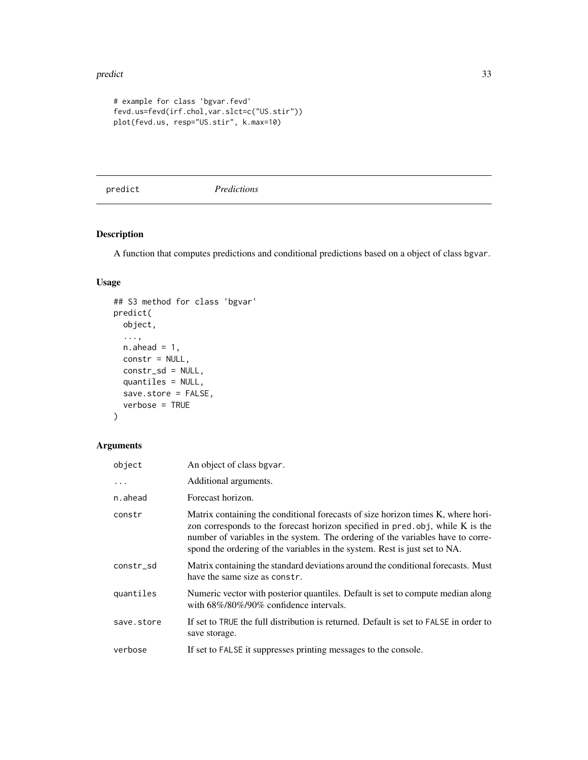#### <span id="page-32-0"></span>predict 33

```
# example for class 'bgvar.fevd'
fevd.us=fevd(irf.chol,var.slct=c("US.stir"))
plot(fevd.us, resp="US.stir", k.max=10)
```
<span id="page-32-1"></span>predict *Predictions*

# Description

A function that computes predictions and conditional predictions based on a object of class bgvar.

# Usage

```
## S3 method for class 'bgvar'
predict(
 object,
  ...,
 n.ahead = 1,
  constr = NULL,
 constr_sd = NULL,
 quantiles = NULL,
  save.store = FALSE,
  verbose = TRUE
```
# )

# Arguments

| object     | An object of class bgvar.                                                                                                                                                                                                                                                                                                          |
|------------|------------------------------------------------------------------------------------------------------------------------------------------------------------------------------------------------------------------------------------------------------------------------------------------------------------------------------------|
| $\cdots$   | Additional arguments.                                                                                                                                                                                                                                                                                                              |
| n.ahead    | Forecast horizon.                                                                                                                                                                                                                                                                                                                  |
| constr     | Matrix containing the conditional forecasts of size horizon times K, where hori-<br>zon corresponds to the forecast horizon specified in pred.obj, while K is the<br>number of variables in the system. The ordering of the variables have to corre-<br>spond the ordering of the variables in the system. Rest is just set to NA. |
| constr_sd  | Matrix containing the standard deviations around the conditional forecasts. Must<br>have the same size as constr.                                                                                                                                                                                                                  |
| quantiles  | Numeric vector with posterior quantiles. Default is set to compute median along<br>with 68%/80%/90% confidence intervals.                                                                                                                                                                                                          |
| save.store | If set to TRUE the full distribution is returned. Default is set to FALSE in order to<br>save storage.                                                                                                                                                                                                                             |
| verbose    | If set to FALSE it suppresses printing messages to the console.                                                                                                                                                                                                                                                                    |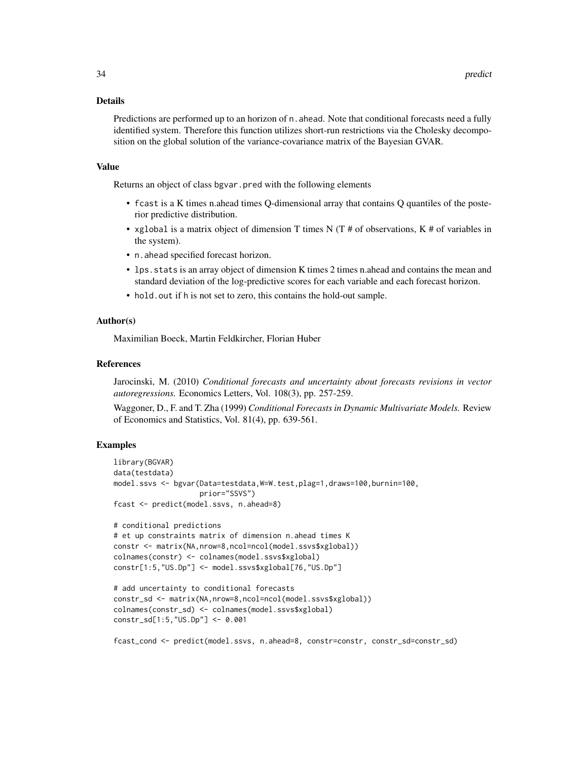#### Details

Predictions are performed up to an horizon of n. ahead. Note that conditional forecasts need a fully identified system. Therefore this function utilizes short-run restrictions via the Cholesky decomposition on the global solution of the variance-covariance matrix of the Bayesian GVAR.

#### Value

Returns an object of class bgvar.pred with the following elements

- fcast is a K times n.ahead times Q-dimensional array that contains Q quantiles of the posterior predictive distribution.
- xglobal is a matrix object of dimension T times N (T  $#$  of observations, K  $#$  of variables in the system).
- n.ahead specified forecast horizon.
- lps.stats is an array object of dimension K times 2 times n.ahead and contains the mean and standard deviation of the log-predictive scores for each variable and each forecast horizon.
- hold.out if h is not set to zero, this contains the hold-out sample.

# Author(s)

Maximilian Boeck, Martin Feldkircher, Florian Huber

#### References

Jarocinski, M. (2010) *Conditional forecasts and uncertainty about forecasts revisions in vector autoregressions.* Economics Letters, Vol. 108(3), pp. 257-259.

Waggoner, D., F. and T. Zha (1999) *Conditional Forecasts in Dynamic Multivariate Models.* Review of Economics and Statistics, Vol. 81(4), pp. 639-561.

# Examples

```
library(BGVAR)
data(testdata)
model.ssvs <- bgvar(Data=testdata,W=W.test,plag=1,draws=100,burnin=100,
                    prior="SSVS")
fcast <- predict(model.ssvs, n.ahead=8)
# conditional predictions
# et up constraints matrix of dimension n.ahead times K
constr <- matrix(NA,nrow=8,ncol=ncol(model.ssvs$xglobal))
colnames(constr) <- colnames(model.ssvs$xglobal)
constr[1:5,"US.Dp"] <- model.ssvs$xglobal[76,"US.Dp"]
# add uncertainty to conditional forecasts
constr_sd <- matrix(NA,nrow=8,ncol=ncol(model.ssvs$xglobal))
colnames(constr_sd) <- colnames(model.ssvs$xglobal)
constr_sd[1:5,"US.Dp"] <- 0.001
fcast_cond <- predict(model.ssvs, n.ahead=8, constr=constr, constr_sd=constr_sd)
```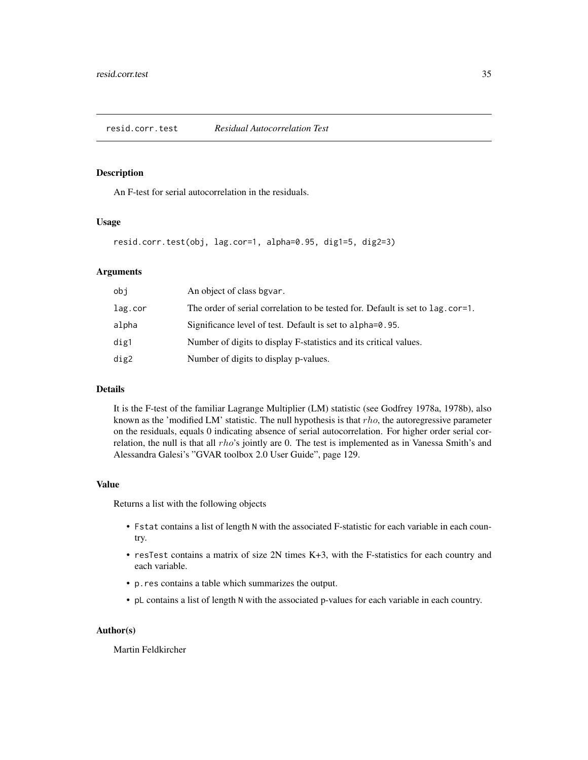#### <span id="page-34-1"></span><span id="page-34-0"></span>Description

An F-test for serial autocorrelation in the residuals.

#### Usage

resid.corr.test(obj, lag.cor=1, alpha=0.95, dig1=5, dig2=3)

# Arguments

| obj     | An object of class bgvar.                                                      |
|---------|--------------------------------------------------------------------------------|
| lag.cor | The order of serial correlation to be tested for. Default is set to lag.cor=1. |
| alpha   | Significance level of test. Default is set to alpha=0.95.                      |
| dig1    | Number of digits to display F-statistics and its critical values.              |
| dig2    | Number of digits to display p-values.                                          |
|         |                                                                                |

#### Details

It is the F-test of the familiar Lagrange Multiplier (LM) statistic (see Godfrey 1978a, 1978b), also known as the 'modified LM' statistic. The null hypothesis is that  $rho$ , the autoregressive parameter on the residuals, equals 0 indicating absence of serial autocorrelation. For higher order serial correlation, the null is that all rho's jointly are 0. The test is implemented as in Vanessa Smith's and Alessandra Galesi's "GVAR toolbox 2.0 User Guide", page 129.

#### Value

Returns a list with the following objects

- Fstat contains a list of length N with the associated F-statistic for each variable in each country.
- resTest contains a matrix of size 2N times K+3, with the F-statistics for each country and each variable.
- p.res contains a table which summarizes the output.
- pL contains a list of length N with the associated p-values for each variable in each country.

#### Author(s)

Martin Feldkircher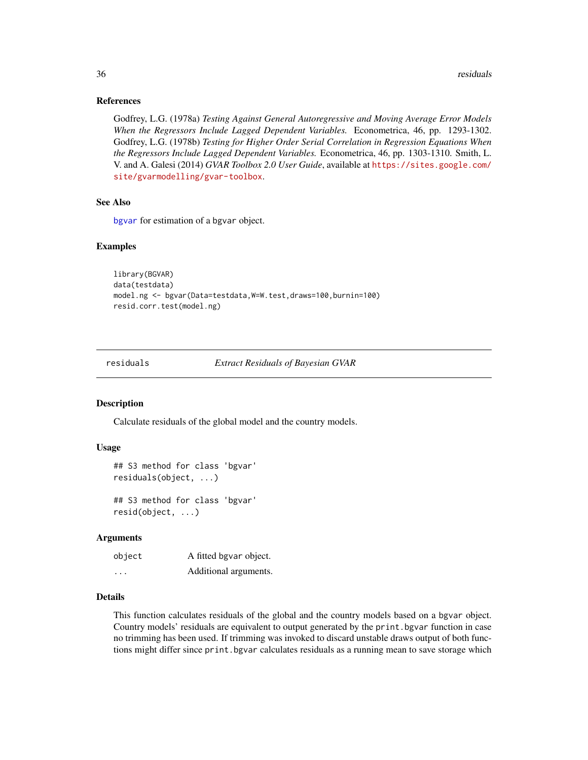# References

Godfrey, L.G. (1978a) *Testing Against General Autoregressive and Moving Average Error Models When the Regressors Include Lagged Dependent Variables.* Econometrica, 46, pp. 1293-1302. Godfrey, L.G. (1978b) *Testing for Higher Order Serial Correlation in Regression Equations When the Regressors Include Lagged Dependent Variables.* Econometrica, 46, pp. 1303-1310. Smith, L. V. and A. Galesi (2014) *GVAR Toolbox 2.0 User Guide*, available at [https://sites.google.com/](https://sites.google.com/site/gvarmodelling/gvar-toolbox) [site/gvarmodelling/gvar-toolbox](https://sites.google.com/site/gvarmodelling/gvar-toolbox).

#### See Also

[bgvar](#page-5-1) for estimation of a bgvar object.

#### Examples

```
library(BGVAR)
data(testdata)
model.ng <- bgvar(Data=testdata,W=W.test,draws=100,burnin=100)
resid.corr.test(model.ng)
```
<span id="page-35-1"></span>residuals *Extract Residuals of Bayesian GVAR*

# Description

Calculate residuals of the global model and the country models.

## Usage

```
## S3 method for class 'bgvar'
residuals(object, ...)
## S3 method for class 'bgvar'
resid(object, ...)
```
# Arguments

object A fitted bgvar object. ... Additional arguments.

# Details

This function calculates residuals of the global and the country models based on a bgvar object. Country models' residuals are equivalent to output generated by the print.bgvar function in case no trimming has been used. If trimming was invoked to discard unstable draws output of both functions might differ since print.bgvar calculates residuals as a running mean to save storage which

<span id="page-35-0"></span>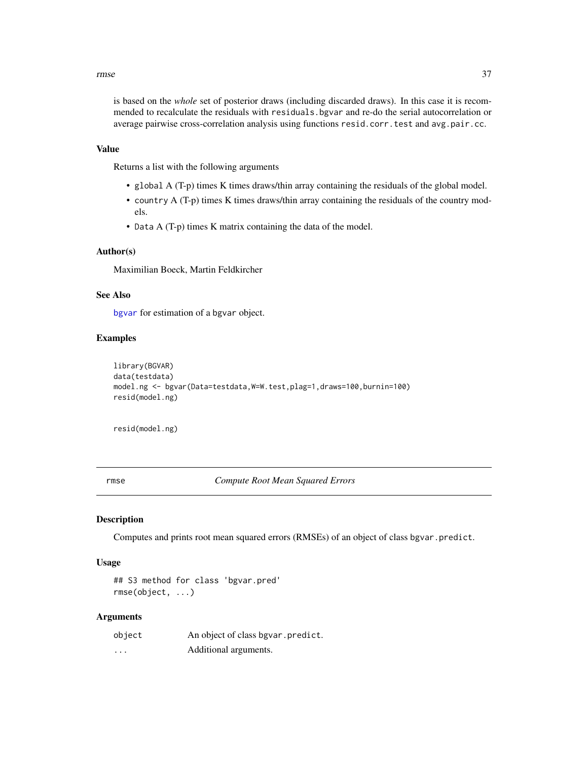#### <span id="page-36-0"></span>rmse aangeste stel in die 19de eeu n.C. is die 19de eeu n.C. Soos ander die 19de eeu n.C. 19de eeu n.C. 19de e

is based on the *whole* set of posterior draws (including discarded draws). In this case it is recommended to recalculate the residuals with residuals.bgvar and re-do the serial autocorrelation or average pairwise cross-correlation analysis using functions resid.corr.test and avg.pair.cc.

# Value

Returns a list with the following arguments

- global A (T-p) times K times draws/thin array containing the residuals of the global model.
- country A (T-p) times K times draws/thin array containing the residuals of the country models.
- Data A (T-p) times K matrix containing the data of the model.

# Author(s)

Maximilian Boeck, Martin Feldkircher

# See Also

[bgvar](#page-5-1) for estimation of a bgvar object.

# Examples

```
library(BGVAR)
data(testdata)
model.ng <- bgvar(Data=testdata, W=W.test, plag=1, draws=100, burnin=100)
resid(model.ng)
```
resid(model.ng)

rmse *Compute Root Mean Squared Errors*

#### Description

Computes and prints root mean squared errors (RMSEs) of an object of class bgvar.predict.

#### Usage

## S3 method for class 'bgvar.pred' rmse(object, ...)

#### Arguments

| object | An object of class bgvar.predict. |
|--------|-----------------------------------|
| .      | Additional arguments.             |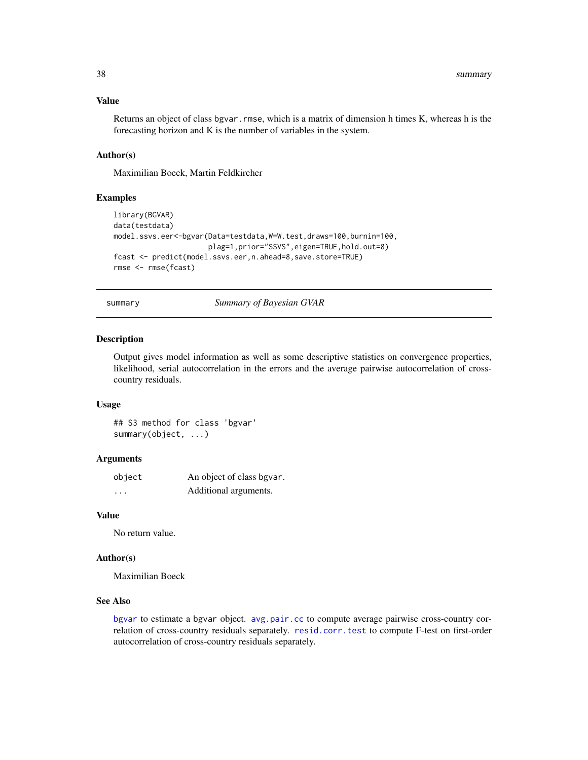# Value

Returns an object of class bgvar.rmse, which is a matrix of dimension h times K, whereas h is the forecasting horizon and K is the number of variables in the system.

# Author(s)

Maximilian Boeck, Martin Feldkircher

## Examples

```
library(BGVAR)
data(testdata)
model.ssvs.eer<-bgvar(Data=testdata,W=W.test,draws=100,burnin=100,
                      plag=1,prior="SSVS",eigen=TRUE,hold.out=8)
fcast <- predict(model.ssvs.eer,n.ahead=8,save.store=TRUE)
rmse <- rmse(fcast)
```
summary *Summary of Bayesian GVAR*

#### **Description**

Output gives model information as well as some descriptive statistics on convergence properties, likelihood, serial autocorrelation in the errors and the average pairwise autocorrelation of crosscountry residuals.

#### Usage

## S3 method for class 'bgvar' summary(object, ...)

# Arguments

| object   | An object of class bgvar. |
|----------|---------------------------|
| $\cdots$ | Additional arguments.     |

#### Value

No return value.

#### Author(s)

Maximilian Boeck

# See Also

[bgvar](#page-5-1) to estimate a bgvar object. [avg.pair.cc](#page-3-1) to compute average pairwise cross-country correlation of cross-country residuals separately. [resid.corr.test](#page-34-1) to compute F-test on first-order autocorrelation of cross-country residuals separately.

<span id="page-37-0"></span>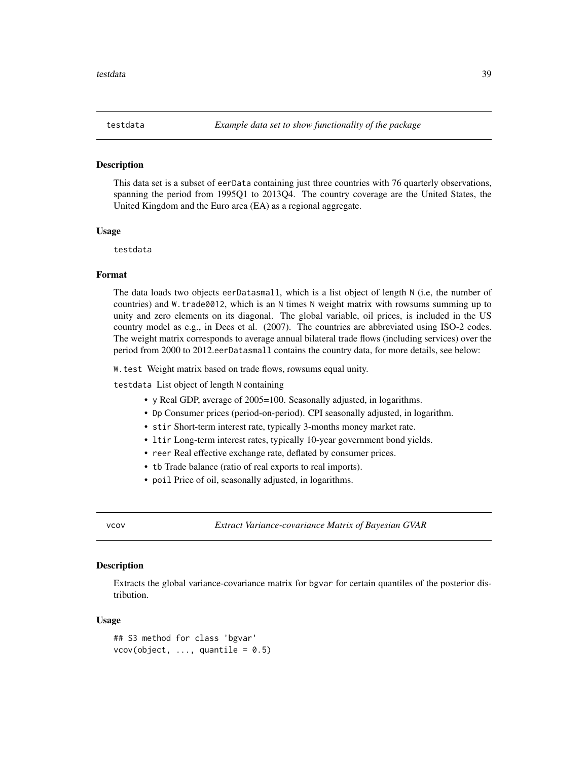<span id="page-38-0"></span>

#### Description

This data set is a subset of eerData containing just three countries with 76 quarterly observations, spanning the period from 1995Q1 to 2013Q4. The country coverage are the United States, the United Kingdom and the Euro area (EA) as a regional aggregate.

#### Usage

testdata

# Format

The data loads two objects eerDatasmall, which is a list object of length N (i.e, the number of countries) and W.trade0012, which is an N times N weight matrix with rowsums summing up to unity and zero elements on its diagonal. The global variable, oil prices, is included in the US country model as e.g., in Dees et al. (2007). The countries are abbreviated using ISO-2 codes. The weight matrix corresponds to average annual bilateral trade flows (including services) over the period from 2000 to 2012.eerDatasmall contains the country data, for more details, see below:

W.test Weight matrix based on trade flows, rowsums equal unity.

testdata List object of length N containing

- y Real GDP, average of 2005=100. Seasonally adjusted, in logarithms.
- Dp Consumer prices (period-on-period). CPI seasonally adjusted, in logarithm.
- stir Short-term interest rate, typically 3-months money market rate.
- ltir Long-term interest rates, typically 10-year government bond yields.
- reer Real effective exchange rate, deflated by consumer prices.
- tb Trade balance (ratio of real exports to real imports).
- poil Price of oil, seasonally adjusted, in logarithms.

vcov *Extract Variance-covariance Matrix of Bayesian GVAR*

# Description

Extracts the global variance-covariance matrix for bgvar for certain quantiles of the posterior distribution.

#### Usage

```
## S3 method for class 'bgvar'
vcov(object, ..., quantile = 0.5)
```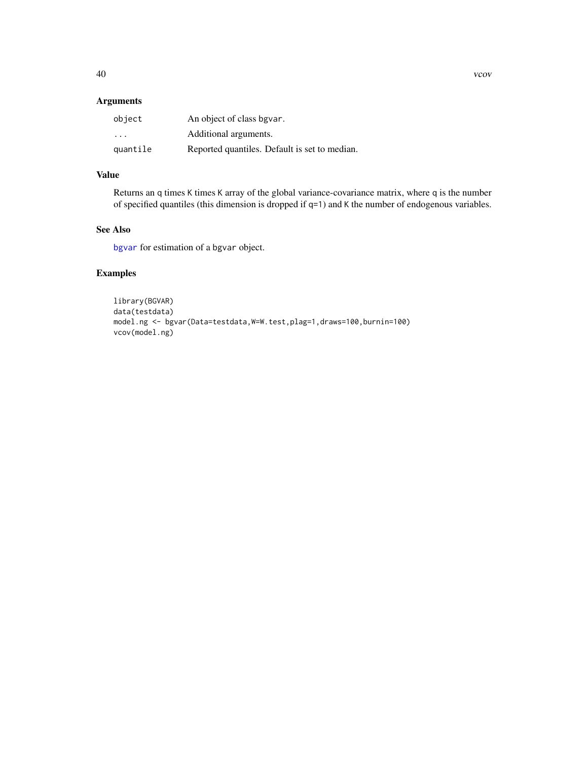# <span id="page-39-0"></span>Arguments

| object   | An object of class bgvar.                     |
|----------|-----------------------------------------------|
| .        | Additional arguments.                         |
| quantile | Reported quantiles. Default is set to median. |

# Value

Returns an q times K times K array of the global variance-covariance matrix, where q is the number of specified quantiles (this dimension is dropped if q=1) and K the number of endogenous variables.

# See Also

[bgvar](#page-5-1) for estimation of a bgvar object.

# Examples

```
library(BGVAR)
data(testdata)
model.ng <- bgvar(Data=testdata,W=W.test,plag=1,draws=100,burnin=100)
vcov(model.ng)
```